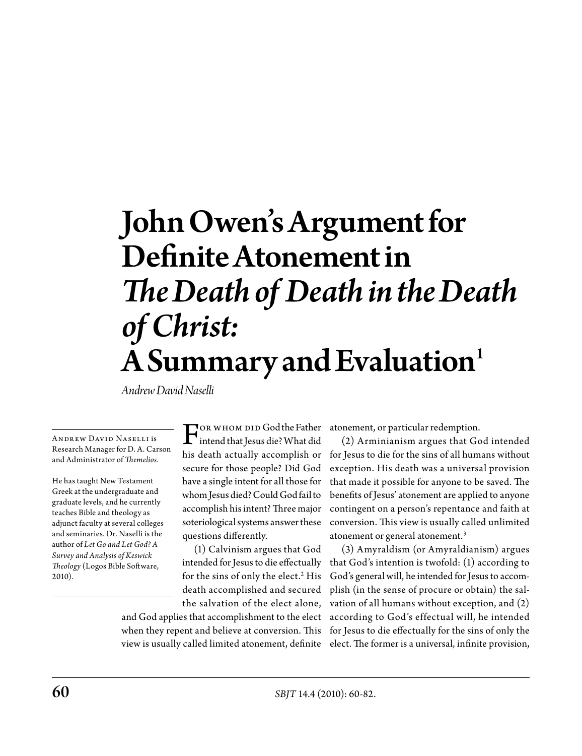# John Owen's Argument for Definite Atonement in *The Death of Death in the Death of Christ:*  $\mathbf A$  Summary and Evaluation<sup>1</sup>

*Andrew David Naselli*

**ANDREW DAVID NASELLI is** Research Manager for D. A. Carson and Administrator of *Themelios.*

He has taught New Testament Greek at the undergraduate and graduate levels, and he currently teaches Bible and theology as adjunct faculty at several colleges and seminaries. Dr. Naselli is the author of *Let Go and Let God? A Survey and Analysis of Keswick Theology* (Logos Bible Software, 2010).

For whom did God the Father<br>intend that Jesus die? What did<br>his doath actually accomplish on his death actually accomplish or secure for those people? Did God have a single intent for all those for whom Jesus died? Could God fail to accomplish his intent? Three major soteriological systems answer these questions differently.

(1) Calvinism argues that God intended for Jesus to die effectually for the sins of only the elect.<sup>2</sup> His death accomplished and secured the salvation of the elect alone,

and God applies that accomplishment to the elect when they repent and believe at conversion. This view is usually called limited atonement, definite

atonement, or particular redemption.

(2) Arminianism argues that God intended for Jesus to die for the sins of all humans without exception. His death was a universal provision that made it possible for anyone to be saved. The benefits of Jesus' atonement are applied to anyone contingent on a person's repentance and faith at conversion. This view is usually called unlimited atonement or general atonement.3

(3) Amyraldism (or Amyraldianism) argues that God's intention is twofold: (1) according to God's general will, he intended for Jesus to accomplish (in the sense of procure or obtain) the salvation of all humans without exception, and (2) according to God's effectual will, he intended for Jesus to die effectually for the sins of only the elect. The former is a universal, infinite provision,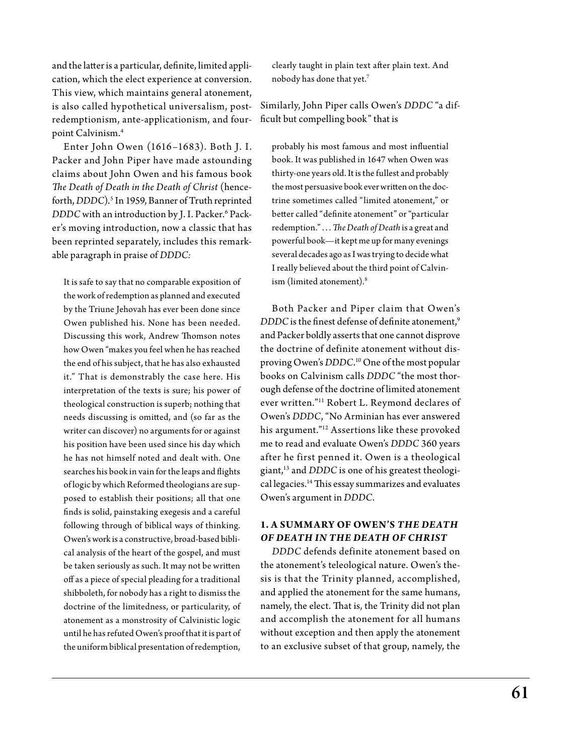and the latter is a particular, definite, limited application, which the elect experience at conversion. This view, which maintains general atonement, is also called hypothetical universalism, postredemptionism, ante-applicationism, and fourpoint Calvinism.4

Enter John Owen (1616 –1683). Both J. I. Packer and John Piper have made astounding claims about John Owen and his famous book *The Death of Death in the Death of Christ* (henceforth, *DDDC*).5 In 1959, Banner of Truth reprinted *DDDC* with an introduction by J. I. Packer.6 Packer's moving introduction, now a classic that has been reprinted separately, includes this remarkable paragraph in praise of *DDDC:*

It is safe to say that no comparable exposition of the work of redemption as planned and executed by the Triune Jehovah has ever been done since Owen published his. None has been needed. Discussing this work, Andrew Thomson notes how Owen "makes you feel when he has reached the end of his subject, that he has also exhausted it." That is demonstrably the case here. His interpretation of the texts is sure; his power of theological construction is superb; nothing that needs discussing is omitted, and (so far as the writer can discover) no arguments for or against his position have been used since his day which he has not himself noted and dealt with. One searches his book in vain for the leaps and flights of logic by which Reformed theologians are supposed to establish their positions; all that one finds is solid, painstaking exegesis and a careful following through of biblical ways of thinking. Owen's work is a constructive, broad-based biblical analysis of the heart of the gospel, and must be taken seriously as such. It may not be written off as a piece of special pleading for a traditional shibboleth, for nobody has a right to dismiss the doctrine of the limitedness, or particularity, of atonement as a monstrosity of Calvinistic logic until he has refuted Owen's proof that it is part of the uniform biblical presentation of redemption,

clearly taught in plain text after plain text. And nobody has done that yet.7

Similarly, John Piper calls Owen's *DDDC* "a difficult but compelling book" that is

probably his most famous and most influential book. It was published in 1647 when Owen was thirty-one years old. It is the fullest and probably the most persuasive book ever written on the doctrine sometimes called "limited atonement," or better called "definite atonement" or "particular redemption." . . . *The Death of Death* is a great and powerful book—it kept me up for many evenings several decades ago as I was trying to decide what I really believed about the third point of Calvinism (limited atonement).<sup>8</sup>

Both Packer and Piper claim that Owen's *DDDC* is the finest defense of definite atonement.<sup>9</sup> and Packer boldly asserts that one cannot disprove the doctrine of definite atonement without disproving Owen's *DDDC*. 10 One of the most popular books on Calvinism calls *DDDC* "the most thorough defense of the doctrine of limited atonement ever written."11 Robert L. Reymond declares of Owen's *DDDC*, "No Arminian has ever answered his argument."12 Assertions like these provoked me to read and evaluate Owen's *DDDC* 360 years after he first penned it. Owen is a theological giant,13 and *DDDC* is one of his greatest theological legacies.14 This essay summarizes and evaluates Owen's argument in *DDDC*.

### **1. A Summary of Owen's** *The Death of Death in the Death of Christ*

*DDDC* defends definite atonement based on the atonement's teleological nature. Owen's thesis is that the Trinity planned, accomplished, and applied the atonement for the same humans, namely, the elect. That is, the Trinity did not plan and accomplish the atonement for all humans without exception and then apply the atonement to an exclusive subset of that group, namely, the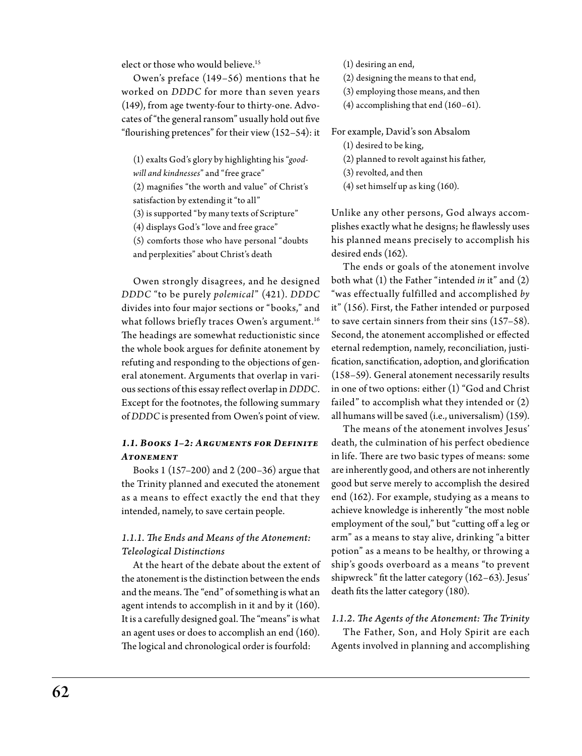elect or those who would believe.<sup>15</sup>

Owen's preface (149–56) mentions that he worked on *DDDC* for more than seven years (149), from age twenty-four to thirty-one. Advocates of "the general ransom" usually hold out five "flourishing pretences" for their view (152–54): it

(1) exalts God's glory by highlighting his "*good-*

*will and kindnesses*" and "free grace"

(2) magnifies "the worth and value" of Christ's

satisfaction by extending it "to all"

(3) is supported "by many texts of Scripture"

(4) displays God's "love and free grace"

(5) comforts those who have personal "doubts and perplexities" about Christ's death

Owen strongly disagrees, and he designed *DDDC* "to be purely *polemical*" (421). *DDDC*  divides into four major sections or "books," and what follows briefly traces Owen's argument.<sup>16</sup> The headings are somewhat reductionistic since the whole book argues for definite atonement by refuting and responding to the objections of general atonement. Arguments that overlap in various sections of this essay reflect overlap in *DDDC*. Except for the footnotes, the following summary of *DDDC* is presented from Owen's point of view.

### *1.1. Books 1–2: Arguments for Definite Atonement*

Books 1 (157–200) and 2 (200–36) argue that the Trinity planned and executed the atonement as a means to effect exactly the end that they intended, namely, to save certain people.

### *1.1.1. The Ends and Means of the Atonement: Teleological Distinctions*

At the heart of the debate about the extent of the atonement is the distinction between the ends and the means. The "end" of something is what an agent intends to accomplish in it and by it (160). It is a carefully designed goal. The "means" is what an agent uses or does to accomplish an end (160). The logical and chronological order is fourfold:

(1) desiring an end,

(2) designing the means to that end,

- (3) employing those means, and then
- (4) accomplishing that end (160–61).

For example, David's son Absalom

### (1) desired to be king,

(2) planned to revolt against his father,

(3) revolted, and then

(4) set himself up as king (160).

Unlike any other persons, God always accomplishes exactly what he designs; he flawlessly uses his planned means precisely to accomplish his desired ends (162).

The ends or goals of the atonement involve both what (1) the Father "intended *in* it" and (2) "was effectually fulfilled and accomplished *by*  it" (156). First, the Father intended or purposed to save certain sinners from their sins (157–58). Second, the atonement accomplished or effected eternal redemption, namely, reconciliation, justification, sanctification, adoption, and glorification (158–59). General atonement necessarily results in one of two options: either (1) "God and Christ failed" to accomplish what they intended or (2) all humans will be saved (i.e., universalism) (159).

The means of the atonement involves Jesus' death, the culmination of his perfect obedience in life. There are two basic types of means: some are inherently good, and others are not inherently good but serve merely to accomplish the desired end (162). For example, studying as a means to achieve knowledge is inherently "the most noble employment of the soul," but "cutting off a leg or arm" as a means to stay alive, drinking "a bitter potion" as a means to be healthy, or throwing a ship's goods overboard as a means "to prevent shipwreck" fit the latter category (162–63). Jesus' death fits the latter category (180).

### *1.1.2. The Agents of the Atonement: The Trinity*

The Father, Son, and Holy Spirit are each Agents involved in planning and accomplishing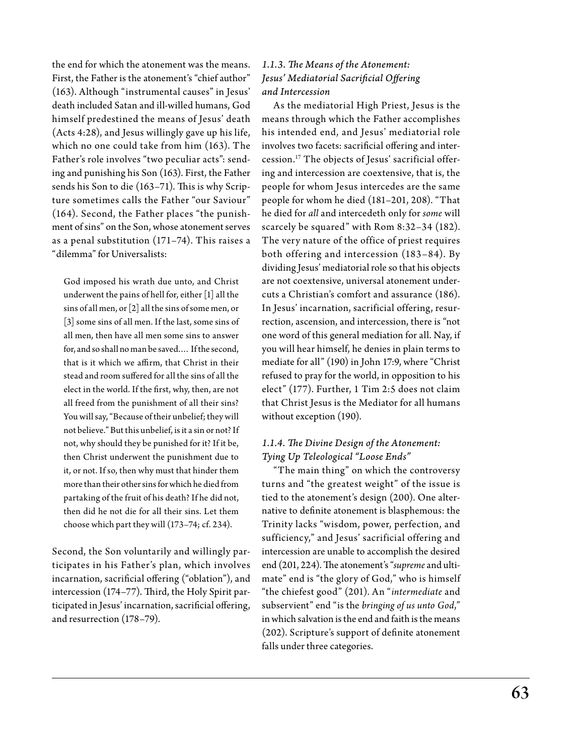the end for which the atonement was the means. First, the Father is the atonement's "chief author" (163). Although "instrumental causes" in Jesus' death included Satan and ill-willed humans, God himself predestined the means of Jesus' death (Acts 4:28), and Jesus willingly gave up his life, which no one could take from him (163). The Father's role involves "two peculiar acts": sending and punishing his Son (163). First, the Father sends his Son to die (163–71). This is why Scripture sometimes calls the Father "our Saviour" (164). Second, the Father places "the punishment of sins" on the Son, whose atonement serves as a penal substitution (171–74). This raises a "dilemma" for Universalists:

God imposed his wrath due unto, and Christ underwent the pains of hell for, either [1] all the sins of all men, or [2] all the sins of some men, or [3] some sins of all men. If the last, some sins of all men, then have all men some sins to answer for, and so shall no man be saved.… If the second, that is it which we affirm, that Christ in their stead and room suffered for all the sins of all the elect in the world. If the first, why, then, are not all freed from the punishment of all their sins? You will say, "Because of their unbelief; they will not believe." But this unbelief, is it a sin or not? If not, why should they be punished for it? If it be, then Christ underwent the punishment due to it, or not. If so, then why must that hinder them more than their other sins for which he died from partaking of the fruit of his death? If he did not, then did he not die for all their sins. Let them choose which part they will (173–74; cf. 234).

Second, the Son voluntarily and willingly participates in his Father's plan, which involves incarnation, sacrificial offering ("oblation"), and intercession (174–77). Third, the Holy Spirit participated in Jesus' incarnation, sacrificial offering, and resurrection (178–79).

### *1.1.3. The Means of the Atonement: Jesus' Mediatorial Sacrificial Offering and Intercession*

As the mediatorial High Priest, Jesus is the means through which the Father accomplishes his intended end, and Jesus' mediatorial role involves two facets: sacrificial offering and intercession.17 The objects of Jesus' sacrificial offering and intercession are coextensive, that is, the people for whom Jesus intercedes are the same people for whom he died (181–201, 208). "That he died for *all* and intercedeth only for *some* will scarcely be squared" with Rom 8:32–34 (182). The very nature of the office of priest requires both offering and intercession (183–84). By dividing Jesus' mediatorial role so that his objects are not coextensive, universal atonement undercuts a Christian's comfort and assurance (186). In Jesus' incarnation, sacrificial offering, resurrection, ascension, and intercession, there is "not one word of this general mediation for all. Nay, if you will hear himself, he denies in plain terms to mediate for all" (190) in John 17:9, where "Christ refused to pray for the world, in opposition to his elect" (177). Further, 1 Tim 2:5 does not claim that Christ Jesus is the Mediator for all humans without exception (190).

### *1.1.4. The Divine Design of the Atonement: Tying Up Teleological "Loose Ends"*

"The main thing" on which the controversy turns and "the greatest weight" of the issue is tied to the atonement's design (200). One alternative to definite atonement is blasphemous: the Trinity lacks "wisdom, power, perfection, and sufficiency," and Jesus' sacrificial offering and intercession are unable to accomplish the desired end (201, 224). The atonement's "*supreme* and ultimate" end is "the glory of God," who is himself "the chiefest good" (201). An "*intermediate* and subservient" end "is the *bringing of us unto God*," in which salvation is the end and faith is the means (202). Scripture's support of definite atonement falls under three categories.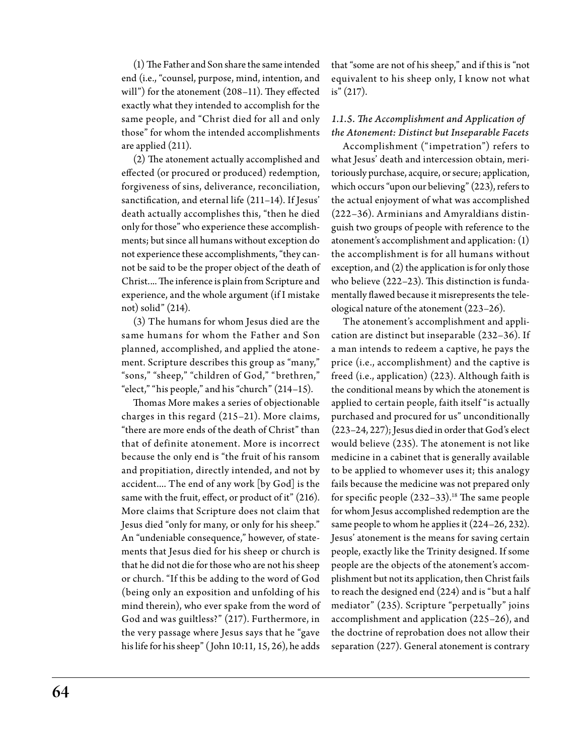(1) The Father and Son share the same intended end (i.e., "counsel, purpose, mind, intention, and will") for the atonement (208–11). They effected exactly what they intended to accomplish for the same people, and "Christ died for all and only those" for whom the intended accomplishments are applied (211).

(2) The atonement actually accomplished and effected (or procured or produced) redemption, forgiveness of sins, deliverance, reconciliation, sanctification, and eternal life (211–14). If Jesus' death actually accomplishes this, "then he died only for those" who experience these accomplishments; but since all humans without exception do not experience these accomplishments, "they cannot be said to be the proper object of the death of Christ.... The inference is plain from Scripture and experience, and the whole argument (if I mistake not) solid" (214).

(3) The humans for whom Jesus died are the same humans for whom the Father and Son planned, accomplished, and applied the atonement. Scripture describes this group as "many," "sons," "sheep," "children of God," "brethren," "elect," "his people," and his "church" (214–15).

Thomas More makes a series of objectionable charges in this regard (215–21). More claims, "there are more ends of the death of Christ" than that of definite atonement. More is incorrect because the only end is "the fruit of his ransom and propitiation, directly intended, and not by accident.... The end of any work [by God] is the same with the fruit, effect, or product of it" (216). More claims that Scripture does not claim that Jesus died "only for many, or only for his sheep." An "undeniable consequence," however, of statements that Jesus died for his sheep or church is that he did not die for those who are not his sheep or church. "If this be adding to the word of God (being only an exposition and unfolding of his mind therein), who ever spake from the word of God and was guiltless?" (217). Furthermore, in the very passage where Jesus says that he "gave his life for his sheep" (John 10:11, 15, 26), he adds

that "some are not of his sheep," and if this is "not equivalent to his sheep only, I know not what is" (217).

### *1.1.5. The Accomplishment and Application of the Atonement: Distinct but Inseparable Facets*

Accomplishment ("impetration") refers to what Jesus' death and intercession obtain, meritoriously purchase, acquire, or secure; application, which occurs "upon our believing" (223), refers to the actual enjoyment of what was accomplished (222–36). Arminians and Amyraldians distinguish two groups of people with reference to the atonement's accomplishment and application: (1) the accomplishment is for all humans without exception, and (2) the application is for only those who believe (222–23). This distinction is fundamentally flawed because it misrepresents the teleological nature of the atonement (223–26).

The atonement's accomplishment and application are distinct but inseparable (232–36). If a man intends to redeem a captive, he pays the price (i.e., accomplishment) and the captive is freed (i.e., application) (223). Although faith is the conditional means by which the atonement is applied to certain people, faith itself "is actually purchased and procured for us" unconditionally (223–24, 227); Jesus died in order that God's elect would believe (235). The atonement is not like medicine in a cabinet that is generally available to be applied to whomever uses it; this analogy fails because the medicine was not prepared only for specific people  $(232-33).<sup>18</sup>$  The same people for whom Jesus accomplished redemption are the same people to whom he applies it (224–26, 232). Jesus' atonement is the means for saving certain people, exactly like the Trinity designed. If some people are the objects of the atonement's accomplishment but not its application, then Christ fails to reach the designed end (224) and is "but a half mediator" (235). Scripture "perpetually" joins accomplishment and application (225–26), and the doctrine of reprobation does not allow their separation (227). General atonement is contrary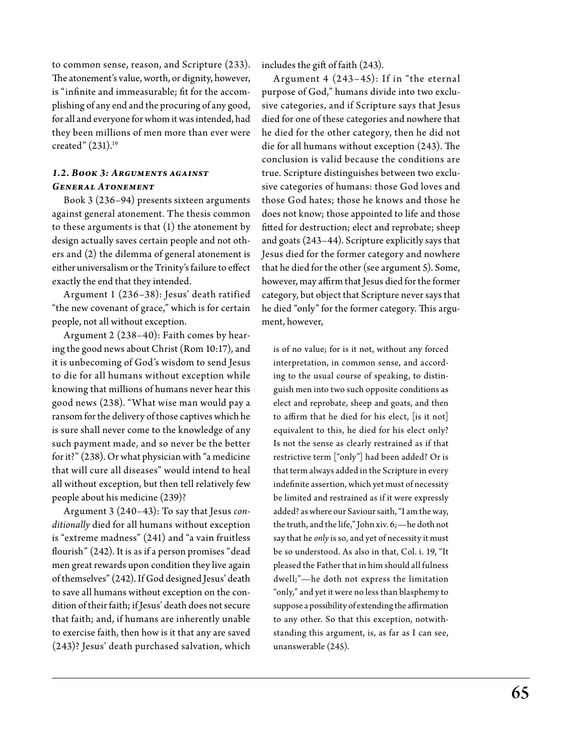to common sense, reason, and Scripture (233). The atonement's value, worth, or dignity, however, is "infinite and immeasurable; fit for the accomplishing of any end and the procuring of any good, for all and everyone for whom it was intended, had they been millions of men more than ever were created" (231).<sup>19</sup>

### *1.2. Book 3: Arguments against General Atonement*

Book 3 (236–94) presents sixteen arguments against general atonement. The thesis common to these arguments is that (1) the atonement by design actually saves certain people and not others and (2) the dilemma of general atonement is either universalism or the Trinity's failure to effect exactly the end that they intended.

Argument 1 (236–38): Jesus' death ratified "the new covenant of grace," which is for certain people, not all without exception.

Argument 2 (238–40): Faith comes by hearing the good news about Christ (Rom 10:17), and it is unbecoming of God's wisdom to send Jesus to die for all humans without exception while knowing that millions of humans never hear this good news (238). "What wise man would pay a ransom for the delivery of those captives which he is sure shall never come to the knowledge of any such payment made, and so never be the better for it?" (238). Or what physician with "a medicine that will cure all diseases" would intend to heal all without exception, but then tell relatively few people about his medicine (239)?

Argument 3 (240–43): To say that Jesus *conditionally* died for all humans without exception is "extreme madness" (241) and "a vain fruitless flourish" (242). It is as if a person promises "dead men great rewards upon condition they live again of themselves" (242). If God designed Jesus' death to save all humans without exception on the condition of their faith; if Jesus' death does not secure that faith; and, if humans are inherently unable to exercise faith, then how is it that any are saved (243)? Jesus' death purchased salvation, which includes the gift of faith (243).

Argument 4  $(243-45)$ : If in "the eternal purpose of God," humans divide into two exclusive categories, and if Scripture says that Jesus died for one of these categories and nowhere that he died for the other category, then he did not die for all humans without exception (243). The conclusion is valid because the conditions are true. Scripture distinguishes between two exclusive categories of humans: those God loves and those God hates; those he knows and those he does not know; those appointed to life and those fitted for destruction; elect and reprobate; sheep and goats (243–44). Scripture explicitly says that Jesus died for the former category and nowhere that he died for the other (see argument 5). Some, however, may affirm that Jesus died for the former category, but object that Scripture never says that he died "only" for the former category. This argument, however,

is of no value; for is it not, without any forced interpretation, in common sense, and according to the usual course of speaking, to distinguish men into two such opposite conditions as elect and reprobate, sheep and goats, and then to affirm that he died for his elect, [is it not] equivalent to this, he died for his elect only? Is not the sense as clearly restrained as if that restrictive term ["only"] had been added? Or is that term always added in the Scripture in every indefinite assertion, which yet must of necessity be limited and restrained as if it were expressly added? as where our Saviour saith, "I am the way, the truth, and the life," John xiv. 6;—he doth not say that he *only* is so, and yet of necessity it must be so understood. As also in that, Col. i. 19, "It pleased the Father that in him should all fulness dwell;"—he doth not express the limitation "only," and yet it were no less than blasphemy to suppose a possibility of extending the affirmation to any other. So that this exception, notwithstanding this argument, is, as far as I can see, unanswerable (245).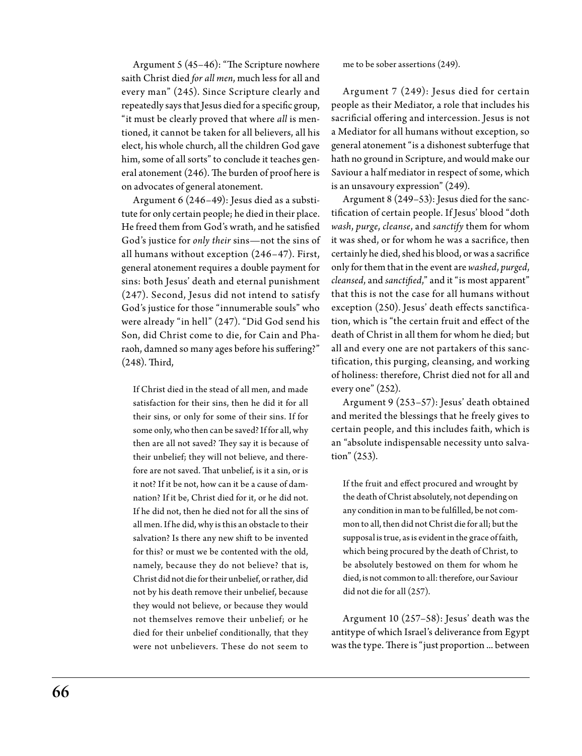Argument 5 (45–46): "The Scripture nowhere saith Christ died *for all men*, much less for all and every man" (245). Since Scripture clearly and repeatedly says that Jesus died for a specific group, "it must be clearly proved that where *all* is mentioned, it cannot be taken for all believers, all his elect, his whole church, all the children God gave him, some of all sorts" to conclude it teaches general atonement (246). The burden of proof here is on advocates of general atonement.

Argument 6 (246–49): Jesus died as a substitute for only certain people; he died in their place. He freed them from God's wrath, and he satisfied God's justice for *only their* sins—not the sins of all humans without exception (246–47). First, general atonement requires a double payment for sins: both Jesus' death and eternal punishment (247). Second, Jesus did not intend to satisfy God's justice for those "innumerable souls" who were already "in hell" (247). "Did God send his Son, did Christ come to die, for Cain and Pharaoh, damned so many ages before his suffering?" (248). Third,

If Christ died in the stead of all men, and made satisfaction for their sins, then he did it for all their sins, or only for some of their sins. If for some only, who then can be saved? If for all, why then are all not saved? They say it is because of their unbelief; they will not believe, and therefore are not saved. That unbelief, is it a sin, or is it not? If it be not, how can it be a cause of damnation? If it be, Christ died for it, or he did not. If he did not, then he died not for all the sins of all men. If he did, why is this an obstacle to their salvation? Is there any new shift to be invented for this? or must we be contented with the old, namely, because they do not believe? that is, Christ did not die for their unbelief, or rather, did not by his death remove their unbelief, because they would not believe, or because they would not themselves remove their unbelief; or he died for their unbelief conditionally, that they were not unbelievers. These do not seem to

me to be sober assertions (249).

Argument 7 (249): Jesus died for certain people as their Mediator, a role that includes his sacrificial offering and intercession. Jesus is not a Mediator for all humans without exception, so general atonement "is a dishonest subterfuge that hath no ground in Scripture, and would make our Saviour a half mediator in respect of some, which is an unsavoury expression" (249).

Argument 8 (249–53): Jesus died for the sanctification of certain people. If Jesus' blood "doth *wash*, *purge*, *cleanse*, and *sanctify* them for whom it was shed, or for whom he was a sacrifice, then certainly he died, shed his blood, or was a sacrifice only for them that in the event are *washed*, *purged*, *cleansed*, and *sanctified*," and it "is most apparent" that this is not the case for all humans without exception (250). Jesus' death effects sanctification, which is "the certain fruit and effect of the death of Christ in all them for whom he died; but all and every one are not partakers of this sanctification, this purging, cleansing, and working of holiness: therefore, Christ died not for all and every one" (252).

Argument 9 (253–57): Jesus' death obtained and merited the blessings that he freely gives to certain people, and this includes faith, which is an "absolute indispensable necessity unto salvation" (253).

If the fruit and effect procured and wrought by the death of Christ absolutely, not depending on any condition in man to be fulfilled, be not common to all, then did not Christ die for all; but the supposal is true, as is evident in the grace of faith, which being procured by the death of Christ, to be absolutely bestowed on them for whom he died, is not common to all: therefore, our Saviour did not die for all (257).

Argument 10 (257–58): Jesus' death was the antitype of which Israel's deliverance from Egypt was the type. There is "just proportion ... between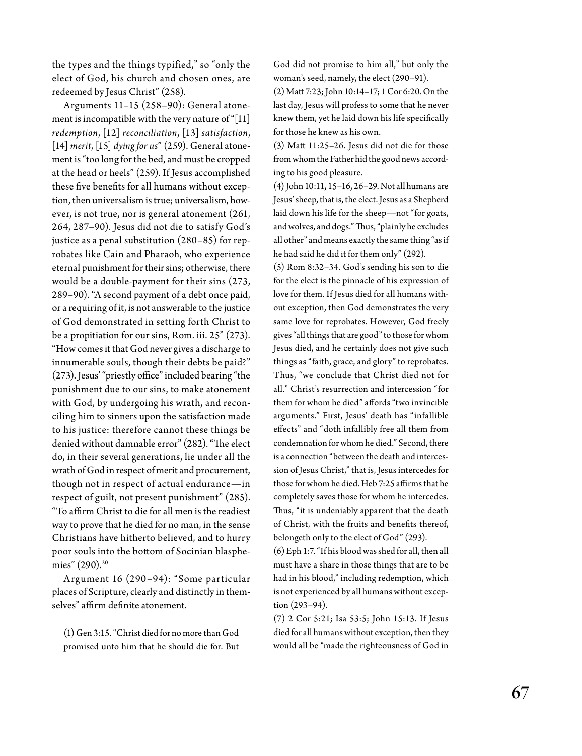the types and the things typified," so "only the elect of God, his church and chosen ones, are redeemed by Jesus Christ" (258).

Arguments 11–15 (258–90): General atonement is incompatible with the very nature of "[11] *redemption*, [12] *reconciliation*, [13] *satisfaction*, [14] *merit*, [15] *dying for us*" (259). General atonement is "too long for the bed, and must be cropped at the head or heels" (259). If Jesus accomplished these five benefits for all humans without exception, then universalism is true; universalism, however, is not true, nor is general atonement (261, 264, 287–90). Jesus did not die to satisfy God's justice as a penal substitution (280–85) for reprobates like Cain and Pharaoh, who experience eternal punishment for their sins; otherwise, there would be a double-payment for their sins (273, 289–90). "A second payment of a debt once paid, or a requiring of it, is not answerable to the justice of God demonstrated in setting forth Christ to be a propitiation for our sins, Rom. iii. 25" (273). "How comes it that God never gives a discharge to innumerable souls, though their debts be paid?" (273). Jesus' "priestly office" included bearing "the punishment due to our sins, to make atonement with God, by undergoing his wrath, and reconciling him to sinners upon the satisfaction made to his justice: therefore cannot these things be denied without damnable error" (282). "The elect do, in their several generations, lie under all the wrath of God in respect of merit and procurement, though not in respect of actual endurance—in respect of guilt, not present punishment" (285). "To affirm Christ to die for all men is the readiest way to prove that he died for no man, in the sense Christians have hitherto believed, and to hurry poor souls into the bottom of Socinian blasphemies" (290).<sup>20</sup>

A rgument 16 (290–94): "Some particular places of Scripture, clearly and distinctly in themselves" affirm definite atonement.

(1) Gen 3:15. "Christ died for no more than God promised unto him that he should die for. But God did not promise to him all," but only the woman's seed, namely, the elect (290–91).

(2) Matt 7:23; John 10:14–17; 1 Cor 6:20. On the last day, Jesus will profess to some that he never knew them, yet he laid down his life specifically for those he knew as his own.

(3) Matt 11:25–26. Jesus did not die for those from whom the Father hid the good news according to his good pleasure.

(4) John 10:11, 15–16, 26–29. Not all humans are Jesus' sheep, that is, the elect. Jesus as a Shepherd laid down his life for the sheep—not "for goats, and wolves, and dogs." Thus, "plainly he excludes all other" and means exactly the same thing "as if he had said he did it for them only" (292).

(5) Rom 8:32–34. God's sending his son to die for the elect is the pinnacle of his expression of love for them. If Jesus died for all humans without exception, then God demonstrates the very same love for reprobates. However, God freely gives "all things that are good" to those for whom Jesus died, and he certainly does not give such things as "faith, grace, and glory" to reprobates. Thus, "we conclude that Christ died not for all." Christ's resurrection and intercession "for them for whom he died" affords "two invincible arguments." First, Jesus' death has "infallible effects" and "doth infallibly free all them from condemnation for whom he died." Second, there is a connection "between the death and intercession of Jesus Christ," that is, Jesus intercedes for those for whom he died. Heb 7:25 affirms that he completely saves those for whom he intercedes. Thus, "it is undeniably apparent that the death of Christ, with the fruits and benefits thereof, belongeth only to the elect of God" (293).

(6) Eph 1:7. "If his blood was shed for all, then all must have a share in those things that are to be had in his blood," including redemption, which is not experienced by all humans without exception (293–94).

(7) 2 Cor 5:21; Isa 53:5; John 15:13. If Jesus died for all humans without exception, then they would all be "made the righteousness of God in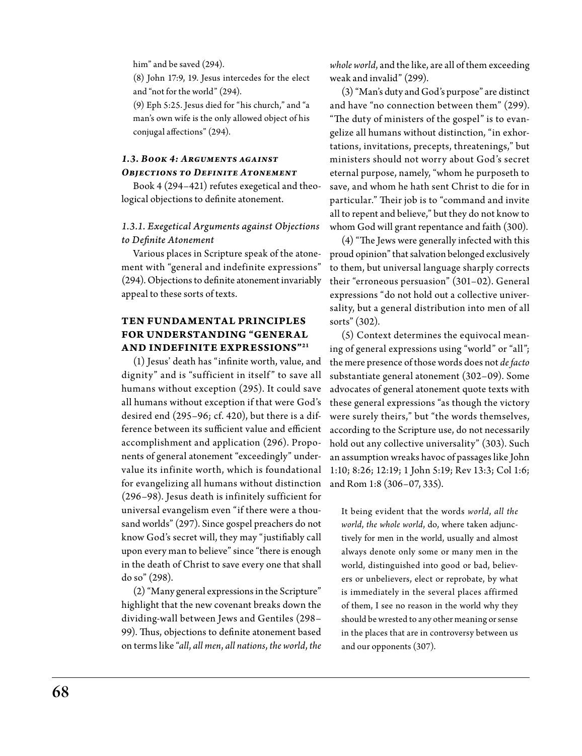him" and be saved (294).

(8) John 17:9, 19. Jesus intercedes for the elect and "not for the world" (294).

(9) Eph 5:25. Jesus died for "his church," and "a man's own wife is the only allowed object of his conjugal affections" (294).

### *1.3. Book 4: Arguments against Objections to Definite Atonement*

Book 4 (294–421) refutes exegetical and theological objections to definite atonement.

### *1.3.1. Exegetical Arguments against Objections to Definite Atonement*

Various places in Scripture speak of the atonement with "general and indefinite expressions" (294). Objections to definite atonement invariably appeal to these sorts of texts.

### **Ten Fundamental Principles FOR UNDERSTANDING "GENERAL and Indefinite Expressions"21**

(1) Jesus' death has "infinite worth, value, and dignity" and is "sufficient in itself" to save all humans without exception (295). It could save all humans without exception if that were God's desired end (295–96; cf. 420), but there is a difference between its sufficient value and efficient accomplishment and application (296). Proponents of general atonement "exceedingly" undervalue its infinite worth, which is foundational for evangelizing all humans without distinction (296–98). Jesus death is infinitely sufficient for universal evangelism even "if there were a thousand worlds" (297). Since gospel preachers do not know God's secret will, they may "justifiably call upon every man to believe" since "there is enough in the death of Christ to save every one that shall do so" (298).

(2) "Many general expressions in the Scripture" highlight that the new covenant breaks down the dividing-wall between Jews and Gentiles (298– 99). Thus, objections to definite atonement based on terms like "*all*, *all men*, *all nations*, *the world*, *the* 

*whole world*, and the like, are all of them exceeding weak and invalid" (299).

(3) "Man's duty and God's purpose" are distinct and have "no connection between them" (299). "The duty of ministers of the gospel" is to evangelize all humans without distinction, "in exhortations, invitations, precepts, threatenings," but ministers should not worry about God's secret eternal purpose, namely, "whom he purposeth to save, and whom he hath sent Christ to die for in particular." Their job is to "command and invite all to repent and believe," but they do not know to whom God will grant repentance and faith (300).

(4) "The Jews were generally infected with this proud opinion" that salvation belonged exclusively to them, but universal language sharply corrects their "erroneous persuasion" (301–02). General expressions "do not hold out a collective universality, but a general distribution into men of all sorts" (302).

(5) Context determines the equivocal meaning of general expressions using "world" or "all"; the mere presence of those words does not *de facto*  substantiate general atonement (302–09). Some advocates of general atonement quote texts with these general expressions "as though the victory were surely theirs," but "the words themselves, according to the Scripture use, do not necessarily hold out any collective universality" (303). Such an assumption wreaks havoc of passages like John 1:10; 8:26; 12:19; 1 John 5:19; Rev 13:3; Col 1:6; and Rom 1:8 (306–07, 335).

It being evident that the words *world*, *all the world*, *the whole world*, do, where taken adjunctively for men in the world, usually and almost always denote only some or many men in the world, distinguished into good or bad, believers or unbelievers, elect or reprobate, by what is immediately in the several places affirmed of them, I see no reason in the world why they should be wrested to any other meaning or sense in the places that are in controversy between us and our opponents (307).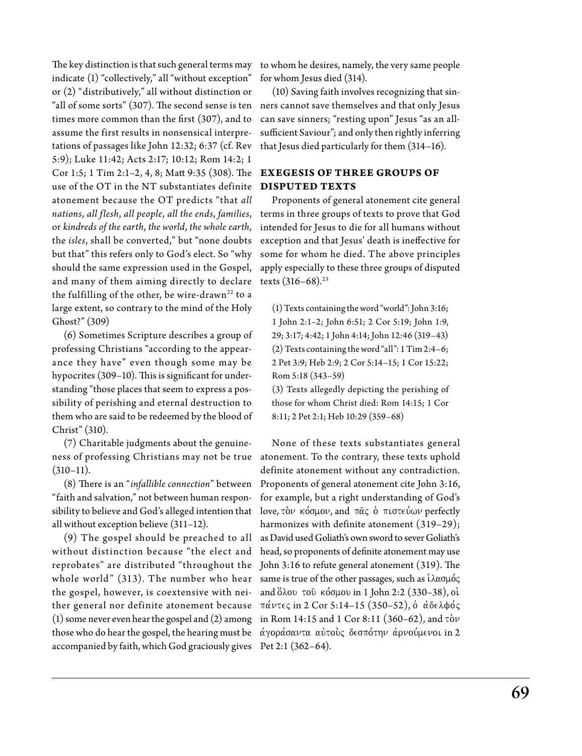The key distinction is that such general terms may indicate (1) "collectively," all "without exception" or (2) "distributively," all without distinction or "all of some sorts" (307). The second sense is ten  $\;$  ners cannot save themselves and that only Jesus times more common than the first (307), and to assume the first results in nonsensical interpretations of passages like John 12:32; 6:37 (cf. Rev 5:9); Luke 11:42; Acts 2:17; 10:12; Rom 14:2; 1 Cor 1:5; 1 Tim 2:1–2, 4, 8; Matt 9:35 (308). The use of the OT in the NT substantiates definite atonement because the OT predicts "that *all nations*, *all flesh*, *all people*, *all the ends*, *families*, or *kindreds of the earth*, *the world*, *the whole earth*, the *isles*, shall be converted," but "none doubts but that" this refers only to God's elect. So "why should the same expression used in the Gospel, and many of them aiming directly to declare the fulfilling of the other, be wire-drawn<sup>22</sup> to a large extent, so contrary to the mind of the Holy Ghost?" (309)

(6) Sometimes Scripture describes a group of professing Christians "according to the appearance they have" even though some may be hypocrites (309-10). This is significant for understanding "those places that seem to express a possibility of perishing and eternal destruction to them who are said to be redeemed by the blood of Christ" (310).

(7) Charitable judgments about the genuineness of professing Christians may not be true atonement. To the contrary, these texts uphold  $(310-11)$ .

(8) There is an "*infallible connection*" between "faith and salvation," not between human responsibility to believe and God's alleged intention that  $\;$  love, τὸ $\nu\,$  κόσμο $\nu$ , and  $\;\pi$ ᾶς ὁ  $\;\pi$ ιστ $\epsilon$ ύω $\nu$  perfectly all without exception believe (311–12).

(9) The gospel should be preached to all without distinction because "the elect and reprobates" are distributed "throughout the whole world"  $(313)$ . The number who hear the gospel, however, is coextensive with neither general nor definite atonement because (1) some never even hear the gospel and (2) among those who do hear the gospel, the hearing must be  $\phi$  άγοράσαντα αὐτοὺς δεσπότην ἀρνούμενοι in 2 accompanied by faith, which God graciously gives Pet 2:1 (362–64).

to whom he desires, namely, the very same people for whom Jesus died (314).

(10) Saving faith involves recognizing that sincan save sinners; "resting upon" Jesus "as an allsufficient Saviour"; and only then rightly inferring that Jesus died particularly for them (314–16).

### **Exegesis of Three Groups of Disputed Texts**

Proponents of general atonement cite general terms in three groups of texts to prove that God intended for Jesus to die for all humans without exception and that Jesus' death is ineffective for some for whom he died. The above principles apply especially to these three groups of disputed texts  $(316-68).^{23}$ 

(1) Texts containing the word "world": John 3:16; 1 John 2:1–2; John 6:51; 2 Cor 5:19; John 1:9, 29; 3:17; 4:42; 1 John 4:14; John 12:46 (319–43) (2) Texts containing the word "all": 1 Tim 2:4–6; 2 Pet 3:9; Heb 2:9; 2 Cor 5:14–15; 1 Cor 15:22; Rom 5:18 (343–59)

(3) Texts allegedly depicting the perishing of those for whom Christ died: Rom 14:15; 1 Cor 8:11; 2 Pet 2:1; Heb 10:29 (359–68)

None of these texts substantiates general definite atonement without any contradiction. Proponents of general atonement cite John 3:16, for example, but a right understanding of God's harmonizes with definite atonement (319–29); as David used Goliath's own sword to sever Goliath's head, so proponents of definite atonement may use John 3:16 to refute general atonement (319). The same is true of the other passages, such as  $i\lambda\alpha\sigma\mu$ ó $\varsigma$ and όλου του κόσμου in 1 John 2:2 (330-38), οί  $παντες$  in 2 Cor 5:14-15 (350-52), ὁ αδελφός in Rom 14:15 and 1 Cor 8:11 (360–62), and  $\tau$ òv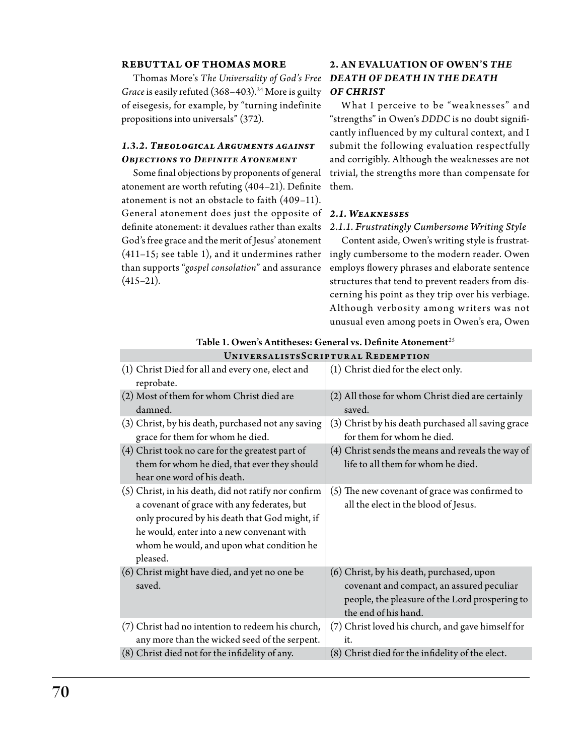### **Rebuttal of Thomas More**

Thomas More's *The Universality of God's Free Death of Death in the Death*  Grace is easily refuted (368-403).<sup>24</sup> More is guilty of eisegesis, for example, by "turning indefinite propositions into universals" (372).

### *1.3.2. Theological Arguments against Objections to Definite Atonement*

Some final objections by proponents of general atonement are worth refuting (404–21). Definite atonement is not an obstacle to faith (409–11). General atonement does just the opposite of *2.1. Weaknesses* definite atonement: it devalues rather than exalts God's free grace and the merit of Jesus' atonement (411–15; see table 1), and it undermines rather ingly cumbersome to the modern reader. Owen than supports "*gospel consolation*" and assurance  $(415-21).$ 

## **2. An Evaluation of Owen's** *The of Christ*

What I perceive to be "weaknesses" and "strengths" in Owen's *DDDC* is no doubt significantly influenced by my cultural context, and I submit the following evaluation respectfully and corrigibly. Although the weaknesses are not trivial, the strengths more than compensate for them.

### *2.1.1. Frustratingly Cumbersome Writing Style*

Content aside, Owen's writing style is frustratemploys flowery phrases and elaborate sentence structures that tend to prevent readers from discerning his point as they trip over his verbiage. Although verbosity among writers was not unusual even among poets in Owen's era, Owen

| (1) Christ Died for all and every one, elect and<br>reprobate.                                                                                                                                                                                             | (1) Christ died for the elect only.                                                                                                                              |
|------------------------------------------------------------------------------------------------------------------------------------------------------------------------------------------------------------------------------------------------------------|------------------------------------------------------------------------------------------------------------------------------------------------------------------|
| (2) Most of them for whom Christ died are<br>damned.                                                                                                                                                                                                       | (2) All those for whom Christ died are certainly<br>saved.                                                                                                       |
| (3) Christ, by his death, purchased not any saving<br>grace for them for whom he died.                                                                                                                                                                     | (3) Christ by his death purchased all saving grace<br>for them for whom he died.                                                                                 |
| (4) Christ took no care for the greatest part of<br>them for whom he died, that ever they should<br>hear one word of his death.                                                                                                                            | (4) Christ sends the means and reveals the way of<br>life to all them for whom he died.                                                                          |
| (5) Christ, in his death, did not ratify nor confirm<br>a covenant of grace with any federates, but<br>only procured by his death that God might, if<br>he would, enter into a new convenant with<br>whom he would, and upon what condition he<br>pleased. | (5) The new covenant of grace was confirmed to<br>all the elect in the blood of Jesus.                                                                           |
| (6) Christ might have died, and yet no one be<br>saved.                                                                                                                                                                                                    | (6) Christ, by his death, purchased, upon<br>covenant and compact, an assured peculiar<br>people, the pleasure of the Lord prospering to<br>the end of his hand. |
| (7) Christ had no intention to redeem his church,<br>any more than the wicked seed of the serpent.                                                                                                                                                         | (7) Christ loved his church, and gave himself for<br>it.                                                                                                         |
| (8) Christ died not for the infidelity of any.                                                                                                                                                                                                             | (8) Christ died for the infidelity of the elect.                                                                                                                 |
|                                                                                                                                                                                                                                                            |                                                                                                                                                                  |

Table 1. Owen's Antitheses: General vs. Definite Atonement*<sup>25</sup>* Univ ersa listsScr iptur a l R edemption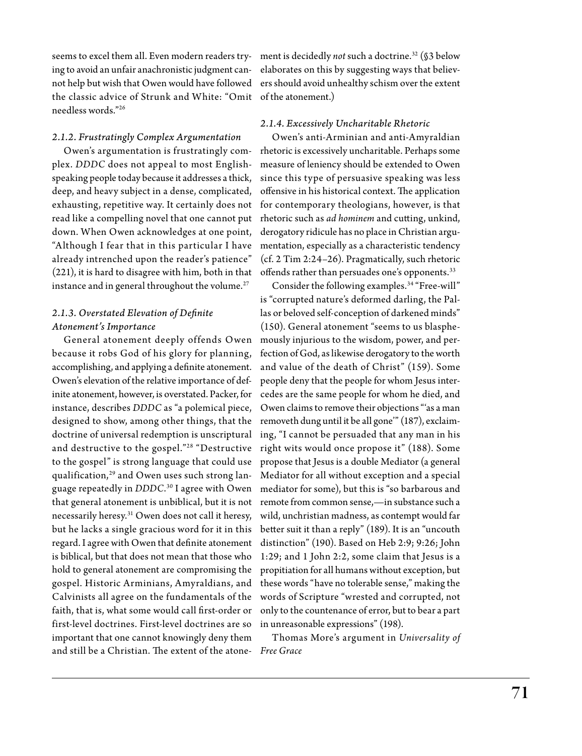seems to excel them all. Even modern readers trying to avoid an unfair anachronistic judgment cannot help but wish that Owen would have followed the classic advice of Strunk and W hite: "Omit of the atonement.) needless words."26

### *2.1.2. Frustratingly Complex Argumentation*

Owen's argumentation is frustratingly complex. *DDDC* does not appeal to most Englishspeaking people today because it addresses a thick, deep, and heavy subject in a dense, complicated, exhausting, repetitive way. It certainly does not read like a compelling novel that one cannot put down. When Owen acknowledges at one point, "A lthough I fear that in this particular I have already intrenched upon the reader's patience" (221), it is hard to disagree with him, both in that instance and in general throughout the volume. $27$ 

### *2.1.3. Overstated Elevation of Definite Atonement's Importance*

General atonement deeply offends Owen because it robs God of his glory for planning, accomplishing, and applying a definite atonement. Owen's elevation of the relative importance of definite atonement, however, is overstated. Packer, for instance, describes *DDDC* as "a polemical piece, designed to show, among other things, that the doctrine of universal redemption is unscriptural and destructive to the gospel."28 "Destructive to the gospel" is strong language that could use qualification,<sup>29</sup> and Owen uses such strong language repeatedly in *DDDC*. 30 I agree with Owen that general atonement is unbiblical, but it is not necessarily heresy.<sup>31</sup> Owen does not call it heresy, but he lacks a single gracious word for it in this regard. I agree with Owen that definite atonement is biblical, but that does not mean that those who hold to general atonement are compromising the gospel. Historic Arminians, Amyraldians, and Calvinists all agree on the fundamentals of the faith, that is, what some would call first-order or first-level doctrines. First-level doctrines are so important that one cannot knowingly deny them and still be a Christian. The extent of the atone-*Free Grace*

ment is decidedly *not* such a doctrine.32 (§3 below elaborates on this by suggesting ways that believers should avoid unhealthy schism over the extent

### *2.1.4. Excessively Uncharitable Rhetoric*

Owen's anti-Arminian and anti-Amyraldian rhetoric is excessively uncharitable. Perhaps some measure of leniency should be extended to Owen since this type of persuasive speaking was less offensive in his historical context. The application for contemporary theologians, however, is that rhetoric such as *ad hominem* and cutting, unkind, derogatory ridicule has no place in Christian argumentation, especially as a characteristic tendency (cf. 2 Tim 2:24–26). Pragmatically, such rhetoric offends rather than persuades one's opponents.<sup>33</sup>

Consider the following examples.34 "Free-will" is "corrupted nature's deformed darling, the Pallas or beloved self-conception of darkened minds" (150). General atonement "seems to us blasphemously injurious to the wisdom, power, and perfection of God, as likewise derogatory to the worth and value of the death of Christ" (159). Some people deny that the people for whom Jesus intercedes are the same people for whom he died, and Owen claims to remove their objections "'as a man removeth dung until it be all gone'" (187), exclaiming, "I cannot be persuaded that any man in his right wits would once propose it" (188). Some propose that Jesus is a double Mediator (a general Mediator for all without exception and a special mediator for some), but this is "so barbarous and remote from common sense,—in substance such a wild, unchristian madness, as contempt would far better suit it than a reply" (189). It is an "uncouth distinction" (190). Based on Heb 2:9; 9:26; John 1:29; and 1 John 2:2, some claim that Jesus is a propitiation for all humans without exception, but these words "have no tolerable sense," making the words of Scripture "wrested and corrupted, not only to the countenance of error, but to bear a part in unreasonable expressions" (198).

Thomas More's argument in *Universality of*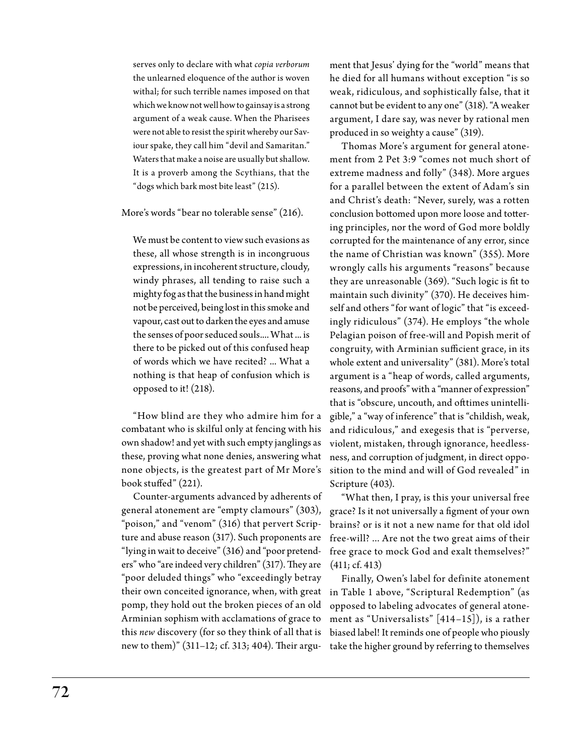serves only to declare with what *copia verborum*  the unlearned eloquence of the author is woven withal; for such terrible names imposed on that which we know not well how to gainsay is a strong argument of a weak cause. When the Pharisees were not able to resist the spirit whereby our Saviour spake, they call him "devil and Samaritan." Waters that make a noise are usually but shallow. It is a proverb among the Scythians, that the "dogs which bark most bite least" (215).

More's words "bear no tolerable sense" (216).

We must be content to view such evasions as these, all whose strength is in incongruous expressions, in incoherent structure, cloudy, windy phrases, all tending to raise such a mighty fog as that the business in hand might not be perceived, being lost in this smoke and vapour, cast out to darken the eyes and amuse the senses of poor seduced souls.... What ... is there to be picked out of this confused heap of words which we have recited? ... What a nothing is that heap of confusion which is opposed to it! (218).

"How blind are they who admire him for a combatant who is skilful only at fencing with his own shadow! and yet with such empty janglings as these, proving what none denies, answering what none objects, is the greatest part of Mr More's book stuffed" (221).

Counter-arguments advanced by adherents of general atonement are "empty clamours" (303), "poison," and "venom" (316) that pervert Scripture and abuse reason (317). Such proponents are "lying in wait to deceive" (316) and "poor pretenders" who "are indeed very children" (317). They are (411; cf. 413) "poor deluded things" who "exceedingly betray their own conceited ignorance, when, with great pomp, they hold out the broken pieces of an old Arminian sophism with acclamations of grace to this *new* discovery (for so they think of all that is new to them)" (311–12; cf. 313; 404). Their argu-

ment that Jesus' dying for the "world" means that he died for all humans without exception "is so weak, ridiculous, and sophistically false, that it cannot but be evident to any one" (318). "A weaker argument, I dare say, was never by rational men produced in so weighty a cause" (319).

Thomas More's argument for general atonement from 2 Pet 3:9 "comes not much short of extreme madness and folly" (348). More argues for a parallel between the extent of Adam's sin and Christ's death: "Never, surely, was a rotten conclusion bottomed upon more loose and tottering principles, nor the word of God more boldly corrupted for the maintenance of any error, since the name of Christian was known" (355). More wrongly calls his arguments "reasons" because they are unreasonable (369). "Such logic is fit to maintain such divinity" (370). He deceives himself and others "for want of logic" that "is exceedingly ridiculous" (374). He employs "the whole Pelagian poison of free-will and Popish merit of congruity, with Arminian sufficient grace, in its whole extent and universality" (381). More's total argument is a "heap of words, called arguments, reasons, and proofs" with a "manner of expression" that is "obscure, uncouth, and ofttimes unintelligible," a "way of inference" that is "childish, weak, and ridiculous," and exegesis that is "perverse, violent, mistaken, through ignorance, heedlessness, and corruption of judgment, in direct opposition to the mind and will of God revealed" in Scripture (403).

"What then, I pray, is this your universal free grace? Is it not universally a figment of your own brains? or is it not a new name for that old idol free-will? ... Are not the two great aims of their free grace to mock God and exalt themselves?"

Finally, Owen's label for definite atonement in Table 1 above, "Scriptural Redemption" (as opposed to labeling advocates of general atonement as "Universalists" [414–15]), is a rather biased label! It reminds one of people who piously take the higher ground by referring to themselves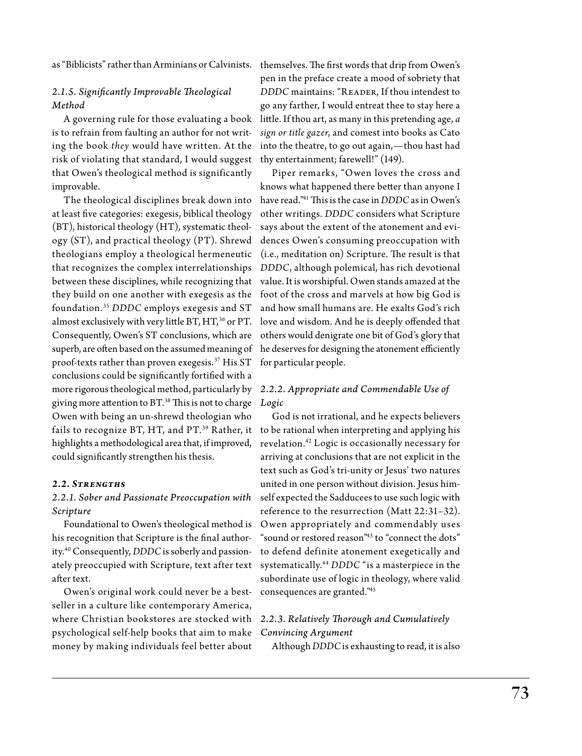as "Biblicists" rather than Arminians or Calvinists. themselves. The first words that drip from Owen's

### *2.1.5. Significantly Improvable Theological Method*

A governing rule for those evaluating a book is to refrain from faulting an author for not writing the book *they* would have written. At the risk of violating that standard, I would suggest that Owen's theological method is significantly improvable.

The theological disciplines break down into at least five categories: exegesis, biblical theology (BT), historical theology (HT), systematic theology (ST), and practical theology (PT). Shrewd theologians employ a theological hermeneutic that recognizes the complex interrelationships between these disciplines, while recognizing that they build on one another with exegesis as the foundation.35 *DDDC* employs exegesis and ST almost exclusively with very little BT,  $HT$ ,  $36$  or PT. Consequently, Owen's ST conclusions, which are superb, are often based on the assumed meaning of proof-texts rather than proven exegesis.37 His ST conclusions could be significantly fortified with a more rigorous theological method, particularly by giving more attention to  $BT.^38$  This is not to charge Owen with being an un-shrewd theologian who fails to recognize BT, HT, and PT.<sup>39</sup> Rather, it highlights a methodological area that, if improved, could significantly strengthen his thesis.

### *2.2. Strengths*

### *2.2.1. Sober and Passionate Preoccupation with Scripture*

Foundational to Owen's theological method is his recognition that Scripture is the final authority.40 Consequently, *DDDC* is soberly and passionately preoccupied with Scripture, text after text after text.

Owen's original work could never be a bestseller in a culture like contemporary America, where Christian bookstores are stocked with psychological self-help books that aim to make money by making individuals feel better about

pen in the preface create a mood of sobriety that DDDC maintains: "READER, If thou intendest to go any farther, I would entreat thee to stay here a little. If thou art, as many in this pretending age, *a sign or title gazer*, and comest into books as Cato into the theatre, to go out again,—thou hast had thy entertainment; farewell!" (149).

Piper remarks, "Owen loves the cross and knows what happened there better than anyone I have read."41 This is the case in *DDDC* as in Owen's other writings. *DDDC* considers what Scripture says about the extent of the atonement and evidences Owen's consuming preoccupation with (i.e., meditation on) Scripture. The result is that *DDDC*, although polemical, has rich devotional value. It is worshipful. Owen stands amazed at the foot of the cross and marvels at how big God is and how small humans are. He exalts God's rich love and wisdom. And he is deeply offended that others would denigrate one bit of God's glory that he deserves for designing the atonement efficiently for particular people.

### *2.2.2. Appropriate and Commendable Use of Logic*

God is not irrational, and he expects believers to be rational when interpreting and applying his revelation.42 Logic is occasionally necessary for arriving at conclusions that are not explicit in the text such as God's tri-unity or Jesus' two natures united in one person without division. Jesus himself expected the Sadducees to use such logic with reference to the resurrection (Matt 22:31–32). Owen appropriately and commendably uses "sound or restored reason"43 to "connect the dots" to defend definite atonement exegetically and systematically.44 *DDDC* "is a masterpiece in the subordinate use of logic in theology, where valid consequences are granted."45

## *2.2.3. Relatively Thorough and Cumulatively Convincing Argument*

Although *DDDC* is exhausting to read, it is also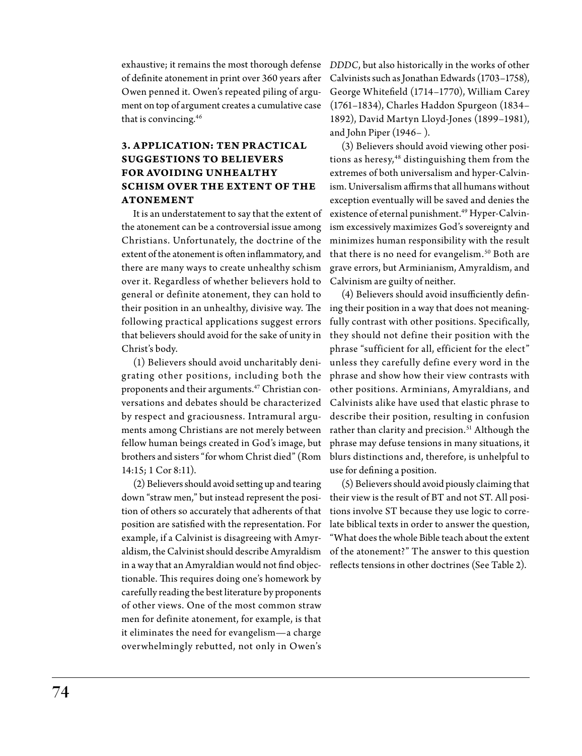exhaustive; it remains the most thorough defense of definite atonement in print over 360 years after Owen penned it. Owen's repeated piling of argument on top of argument creates a cumulative case that is convincing.46

### **3. APPLICATION: TEN PRACTICAL Suggestions to Believers for Avoiding Unhealthy Schism over the Extent of the Atonement**

It is an understatement to say that the extent of the atonement can be a controversial issue among Christians. Unfortunately, the doctrine of the extent of the atonement is often inflammatory, and there are many ways to create unhealthy schism over it. Regardless of whether believers hold to general or definite atonement, they can hold to their position in an unhealthy, divisive way. The ing their position in a way that does not meaningfollowing practical applications suggest errors that believers should avoid for the sake of unity in Christ's body.

(1) Believers should avoid uncharitably denigrating other positions, including both the proponents and their arguments.<sup>47</sup> Christian conversations and debates should be characterized by respect and graciousness. Intramural arguments among Christians are not merely between fellow human beings created in God's image, but 14:15; 1 Cor 8:11).

(2) Believers should avoid setting up and tearing down "straw men," but instead represent the position of others so accurately that adherents of that position are satisfied with the representation. For example, if a Calvinist is disagreeing with Amyraldism, the Calvinist should describe Amyraldism in a way that an Amyraldian would not find objectionable. This requires doing one's homework by carefully reading the best literature by proponents of other views. One of the most common straw men for definite atonement, for example, is that it eliminates the need for evangelism—a charge overwhelmingly rebutted, not only in Owen's

*DDDC*, but also historically in the works of other Calvinists such as Jonathan Edwards (1703–1758), George Whitefield (1714–1770), William Carey (1761–1834), Charles Haddon Spurgeon (1834– 1892), David Martyn Lloyd-Jones (1899–1981), and John Piper (1946– ).

(3) Believers should avoid viewing other positions as heresy,<sup>48</sup> distinguishing them from the extremes of both universalism and hyper-Calvinism. Universalism affirms that all humans without exception eventually will be saved and denies the existence of eternal punishment.<sup>49</sup> Hyper-Calvinism excessively maximizes God's sovereignty and minimizes human responsibility with the result that there is no need for evangelism.<sup>50</sup> Both are grave errors, but Arminianism, Amyraldism, and Calvinism are guilty of neither.

brothers and sisters "for whom Christ died" (Rom blurs distinctions and, therefore, is unhelpful to (4) Believers should avoid insufficiently definfully contrast with other positions. Specifically, they should not define their position with the phrase "sufficient for all, efficient for the elect" unless they carefully define every word in the phrase and show how their view contrasts with other positions. Arminians, Amyraldians, and Calvinists alike have used that elastic phrase to describe their position, resulting in confusion rather than clarity and precision.<sup>51</sup> Although the phrase may defuse tensions in many situations, it use for defining a position.

> (5) Believers should avoid piously claiming that their view is the result of BT and not ST. All positions involve ST because they use logic to correlate biblical texts in order to answer the question, "What does the whole Bible teach about the extent of the atonement?" The answer to this question reflects tensions in other doctrines (See Table 2).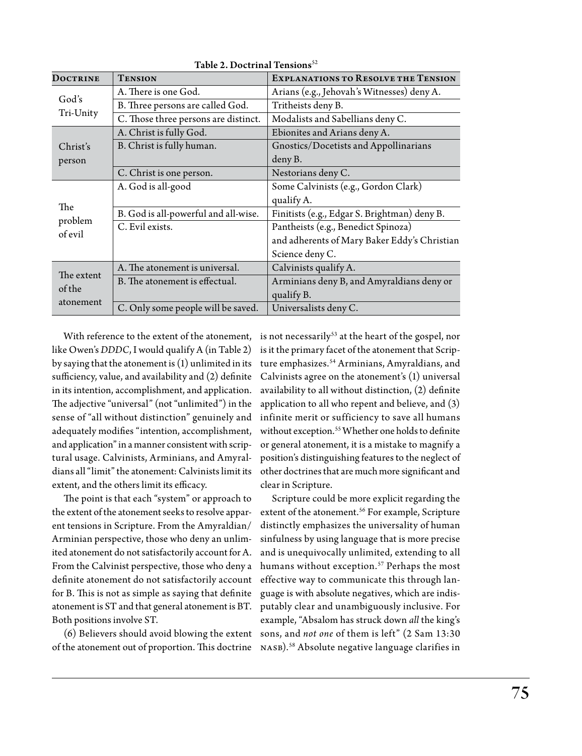| <b>DOCTRINE</b>                   | <b>TENSION</b>                       | <b>EXPLANATIONS TO RESOLVE THE TENSION</b>   |
|-----------------------------------|--------------------------------------|----------------------------------------------|
| God's<br>Tri-Unity                | A. There is one God.                 | Arians (e.g., Jehovah's Witnesses) deny A.   |
|                                   | B. Three persons are called God.     | Tritheists deny B.                           |
|                                   | C. Those three persons are distinct. | Modalists and Sabellians deny C.             |
| Christ's<br>person                | A. Christ is fully God.              | Ebionites and Arians deny A.                 |
|                                   | B. Christ is fully human.            | Gnostics/Docetists and Appollinarians        |
|                                   |                                      | deny B.                                      |
|                                   | C. Christ is one person.             | Nestorians deny C.                           |
| The                               | A. God is all-good                   | Some Calvinists (e.g., Gordon Clark)         |
|                                   |                                      | qualify A.                                   |
|                                   | B. God is all-powerful and all-wise. | Finitists (e.g., Edgar S. Brightman) deny B. |
| problem<br>of evil                | C. Evil exists.                      | Pantheists (e.g., Benedict Spinoza)          |
|                                   |                                      | and adherents of Mary Baker Eddy's Christian |
|                                   |                                      | Science deny C.                              |
| The extent<br>of the<br>atonement | A. The atonement is universal.       | Calvinists qualify A.                        |
|                                   | B. The atonement is effectual.       | Arminians deny B, and Amyraldians deny or    |
|                                   |                                      | qualify B.                                   |
|                                   | C. Only some people will be saved.   | Universalists deny C.                        |

Table 2. Doctrinal Tensions $52$ 

With reference to the extent of the atonement, like Owen's *DDDC*, I would qualify A (in Table 2) by saying that the atonement is (1) unlimited in its sufficiency, value, and availability and (2) definite in its intention, accomplishment, and application. The adjective "universal" (not "unlimited") in the sense of "all without distinction" genuinely and adequately modifies "intention, accomplishment, and application" in a manner consistent with scriptural usage. Calvinists, Arminians, and Amyraldians all "limit" the atonement: Calvinists limit its extent, and the others limit its efficacy.

The point is that each "system" or approach to the extent of the atonement seeks to resolve apparent tensions in Scripture. From the Amyraldian/ Arminian perspective, those who deny an unlimited atonement do not satisfactorily account for A. From the Calvinist perspective, those who deny a definite atonement do not satisfactorily account for B. This is not as simple as saying that definite atonement is ST and that general atonement is BT. Both positions involve ST.

of the atonement out of proportion. This doctrine NASB).<sup>58</sup> Absolute negative language clarifies in

is not necessarily<sup>53</sup> at the heart of the gospel, nor is it the primary facet of the atonement that Scripture emphasizes.<sup>54</sup> Arminians, Amyraldians, and Calvinists agree on the atonement's (1) universal availability to all without distinction, (2) definite application to all who repent and believe, and (3) infinite merit or sufficiency to save all humans without exception.<sup>55</sup> Whether one holds to definite or general atonement, it is a mistake to magnify a position's distinguishing features to the neglect of other doctrines that are much more significant and clear in Scripture.

(6) Believers should avoid blowing the extent sons, and *not one* of them is left" (2 Sam 13:30 Scripture could be more explicit regarding the extent of the atonement.<sup>56</sup> For example, Scripture distinctly emphasizes the universality of human sinfulness by using language that is more precise and is unequivocally unlimited, extending to all humans without exception.<sup>57</sup> Perhaps the most effective way to communicate this through language is with absolute negatives, which are indisputably clear and unambiguously inclusive. For example, "Absalom has struck down *all* the king's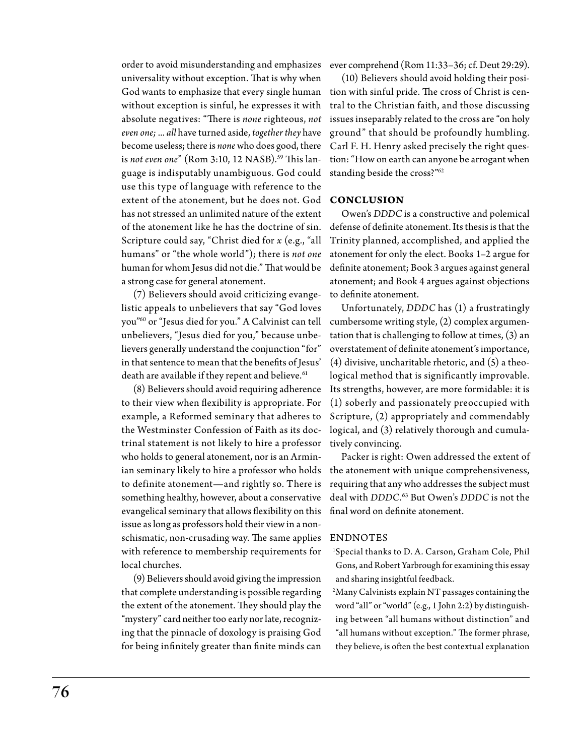order to avoid misunderstanding and emphasizes universality without exception. That is why when without exception is sinful, he expresses it with absolute negatives: "There is *none* righteous, *not even one;* ... *all* have turned aside, *together they* have become useless; there is *none* who does good, there is *not even one*" (Rom 3:10, 12 NASB).<sup>59</sup> This language is indisputably unambiguous. God could use this type of language with reference to the extent of the atonement, but he does not. God **Conclusion** has not stressed an unlimited nature of the extent of the atonement like he has the doctrine of sin. Scripture could say, "Christ died for *x* (e.g., "all humans" or "the whole world"); there is *not one* human for whom Jesus did not die." That would be a strong case for general atonement.

(7) Believers should avoid criticizing evangelistic appeals to unbelievers that say "God loves you"60 or "Jesus died for you." A Calvinist can tell unbelievers, "Jesus died for you," because unbelievers generally understand the conjunction "for" in that sentence to mean that the benefits of Jesus' death are available if they repent and believe.<sup>61</sup>

(8) Believers should avoid requiring adherence to their view when flexibility is appropriate. For example, a Reformed seminary that adheres to the Westminster Confession of Faith as its doctrinal statement is not likely to hire a professor who holds to general atonement, nor is an Arminian seminary likely to hire a professor who holds to definite atonement—and rightly so. There is something healthy, however, about a conservative evangelical seminary that allows flexibility on this issue as long as professors hold their view in a nonschismatic, non-crusading way. The same applies with reference to membership requirements for local churches.

(9) Believers should avoid giving the impression that complete understanding is possible regarding the extent of the atonement. They should play the "mystery" card neither too early nor late, recognizing that the pinnacle of doxology is praising God for being infinitely greater than finite minds can ever comprehend (Rom 11:33–36; cf. Deut 29:29).

God wants to emphasize that every single human tion with sinful pride. The cross of Christ is cen-(10) Believers should avoid holding their positral to the Christian faith, and those discussing issues inseparably related to the cross are "on holy ground" that should be profoundly humbling. Carl F. H. Henry asked precisely the right question: "How on earth can anyone be arrogant when standing beside the cross?"62

Owen's *DDDC* is a constructive and polemical defense of definite atonement. Its thesis is that the Trinity planned, accomplished, and applied the atonement for only the elect. Books 1–2 argue for definite atonement; Book 3 argues against general atonement; and Book 4 argues against objections to definite atonement.

Unfortunately, *DDDC* has (1) a frustratingly cumbersome writing style, (2) complex argumentation that is challenging to follow at times, (3) an overstatement of definite atonement's importance, (4) divisive, uncharitable rhetoric, and (5) a theological method that is significantly improvable. Its strengths, however, are more formidable: it is (1) soberly and passionately preoccupied with Scripture, (2) appropriately and commendably logical, and (3) relatively thorough and cumulatively convincing.

Packer is right: Owen addressed the extent of the atonement with unique comprehensiveness, requiring that any who addresses the subject must deal with *DDDC*. 63 But Owen's *DDDC* is not the final word on definite atonement.

### **ENDNOTES**

- 1 Special thanks to D. A. Carson, Graham Cole, Phil Gons, and Robert Yarbrough for examining this essay and sharing insightful feedback.
- 2 Many Calvinists explain NT passages containing the word "all" or "world" (e.g., 1 John 2:2) by distinguishing between "all humans without distinction" and "all humans without exception." The former phrase, they believe, is often the best contextual explanation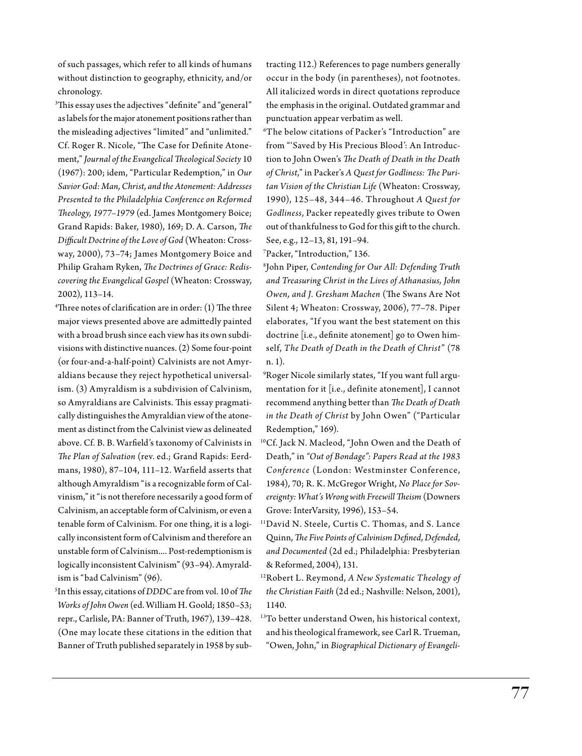of such passages, which refer to all kinds of humans without distinction to geography, ethnicity, and/or chronology.

 $\rm{^{3}This}$  essay uses the adjectives "definite" and "general" as labels for the major atonement positions rather than the misleading adjectives "limited" and "unlimited." Cf. Roger R. Nicole, "The Case for Definite Atonement," *Journal of the Evangelical Theological Society* 10 (1967): 200; idem, "Particular Redemption," in *Our Savior God: Man, Christ, and the Atonement: Addresses Presented to the Philadelphia Conference on Reformed Theology, 1977–1979* (ed. James Montgomery Boice; Grand Rapids: Baker, 1980), 169; D. A. Carson, *The Difficult Doctrine of the Love of God* (Wheaton: Crossway, 2000), 73–74; James Montgomery Boice and Philip Graham Ryken, *The Doctrines of Grace: Rediscovering the Evangelical Gospel* (Wheaton: Crossway, 2002), 113–14.

4 Three notes of clarification are in order: (1) The three major views presented above are admittedly painted with a broad brush since each view has its own subdivisions with distinctive nuances. (2) Some four-point (or four-and-a-half-point) Calvinists are not Amyraldians because they reject hypothetical universalism. (3) Amyraldism is a subdivision of Calvinism, so Amyraldians are Calvinists. This essay pragmatically distinguishes the Amyraldian view of the atonement as distinct from the Calvinist view as delineated above. Cf. B. B. Warfield's taxonomy of Calvinists in *The Plan of Salvation* (rev. ed.; Grand Rapids: Eerdmans, 1980), 87–104, 111–12. Warfield asserts that although Amyraldism "is a recognizable form of Calvinism," it "is not therefore necessarily a good form of Calvinism, an acceptable form of Calvinism, or even a tenable form of Calvinism. For one thing, it is a logically inconsistent form of Calvinism and therefore an unstable form of Calvinism.... Post-redemptionism is logically inconsistent Calvinism" (93–94). Amyraldism is "bad Calvinism" (96).

5 In this essay, citations of *DDDC* are from vol. 10 of *The Works of John Owen* (ed. William H. Goold; 1850–53; repr., Carlisle, PA: Banner of Truth, 1967), 139–428. (One may locate these citations in the edition that Banner of Truth published separately in 1958 by subtracting 112.) References to page numbers generally occur in the body (in parentheses), not footnotes. All italicized words in direct quotations reproduce the emphasis in the original. Outdated grammar and punctuation appear verbatim as well.

6 The below citations of Packer's "Introduction" are from "'Saved by His Precious Blood': An Introduction to John Owen's *The Death of Death in the Death of Christ*," in Packer's *A Quest for Godliness: The Puritan Vision of the Christian Life* (Wheaton: Crossway, 1990), 125–48, 344–46. Throughout *A Quest for Godliness*, Packer repeatedly gives tribute to Owen out of thankfulness to God for this gift to the church. See, e.g., 12–13, 81, 191–94.

7 Packer, "Introduction," 136.

8 John Piper, *Contending for Our All: Defending Truth and Treasuring Christ in the Lives of Athanasius, John Owen, and J. Gresham Machen* (The Swans Are Not Silent 4; Wheaton: Crossway, 2006), 77–78. Piper elaborates, "If you want the best statement on this doctrine [i.e., definite atonement] go to Owen himself, *The Death of Death in the Death of Christ*" (78 n. 1).

 $\rm{^9}R$ oger Nicole similarly states, "If you want full argumentation for it [i.e., definite atonement], I cannot recommend anything better than *The Death of Death in the Death of Christ* by John Owen" ("Particular Redemption," 169).

- 10Cf. Jack N. Macleod, "John Owen and the Death of Death," in *"Out of Bondage": Papers Read at the 1983 Conference* (London: Westminster Conference, 1984), 70; R. K. McGregor Wright, *No Place for Sovereignty: What's Wrong with Freewill Theism* (Downers Grove: InterVarsity, 1996), 153–54.
- 11David N. Steele, Curtis C. Thomas, and S. Lance Quinn, *The Five Points of Calvinism Defined, Defended, and Documented* (2d ed.; Philadelphia: Presbyterian & Reformed, 2004), 131.
- 12Robert L. Reymond, *A New Systematic Theology of the Christian Faith* (2d ed.; Nashville: Nelson, 2001), 1140.
- <sup>13</sup>To better understand Owen, his historical context, and his theological framework, see Carl R. Trueman, "Owen, John," in *Biographical Dictionary of Evangeli-*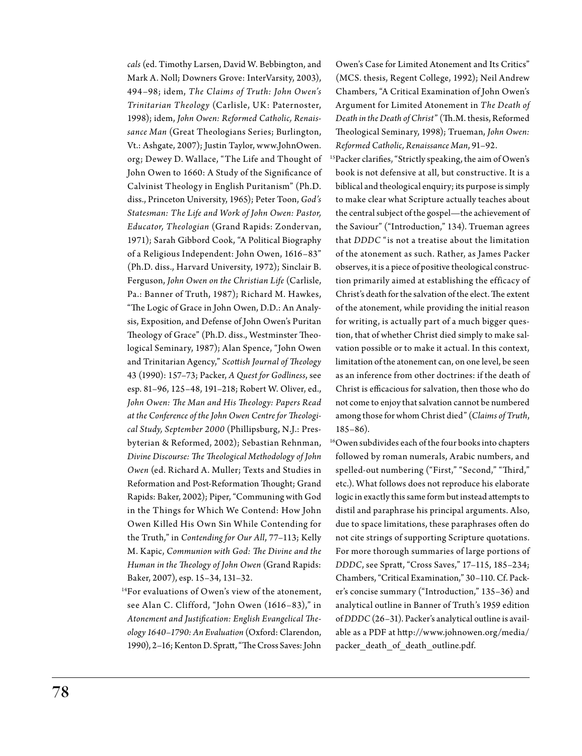*cals* (ed. Timothy Larsen, David W. Bebbington, and Mark A. Noll; Downers Grove: InterVarsity, 2003), 494–98; idem, *The Claims of Truth: John Owen's Trinitarian Theology* (Carlisle, UK: Paternoster, 1998); idem, *John Owen: Reformed Catholic, Renaissance Man* (Great Theologians Series; Burlington, Vt.: Ashgate, 2007); Justin Taylor, www.JohnOwen. org; Dewey D. Wallace, "The Life and Thought of John Owen to 1660: A Study of the Significance of Calvinist Theology in English Puritanism" (Ph.D. diss., Princeton University, 1965); Peter Toon, *God's Statesman: The Life and Work of John Owen: Pastor, Educator, Theologian* (Grand Rapids: Zondervan, 1971); Sarah Gibbord Cook, "A Political Biography of a Religious Independent: John Owen, 1616–83" (Ph.D. diss., Harvard University, 1972); Sinclair B. Ferguson, *John Owen on the Christian Life* (Carlisle, Pa.: Banner of Truth, 1987); Richard M. Hawkes, "The Logic of Grace in John Owen, D.D.: An Analysis, Exposition, and Defense of John Owen's Puritan Theology of Grace" (Ph.D. diss., Westminster Theological Seminary, 1987); Alan Spence, "John Owen and Trinitarian Agency," *Scottish Journal of Theology*  43 (1990): 157–73; Packer, *A Quest for Godliness*, see esp. 81–96, 125–48, 191–218; Robert W. Oliver, ed., *John Owen: The Man and His Theology: Papers Read at the Conference of the John Owen Centre for Theological Study, September 2000* (Phillipsburg, N.J.: Presbyterian & Reformed, 2002); Sebastian Rehnman, *Divine Discourse: The Theological Methodology of John Owen* (ed. Richard A. Muller; Texts and Studies in Reformation and Post-Reformation Thought; Grand Rapids: Baker, 2002); Piper, "Communing with God in the Things for Which We Contend: How John Owen Killed His Own Sin W hile Contending for the Truth," in *Contending for Our All*, 77–113; Kelly M. Kapic, *Communion with God: The Divine and the Human in the Theology of John Owen* (Grand Rapids: Baker, 2007), esp. 15–34, 131–32.

<sup>14</sup>For evaluations of Owen's view of the atonement, see Alan C. Clifford, "John Owen (1616–83)," in *Atonement and Justification: English Evangelical Theology 1640–1790: An Evaluation* (Oxford: Clarendon, 1990), 2–16; Kenton D. Spratt, "The Cross Saves: John Owen's Case for Limited Atonement and Its Critics" (MCS. thesis, Regent College, 1992); Neil Andrew Chambers, "A Critical Examination of John Owen's Argument for Limited Atonement in *The Death of Death in the Death of Christ*" (Th.M. thesis, Reformed Theological Seminary, 1998); Trueman, *John Owen: Reformed Catholic, Renaissance Man*, 91–92.

- 15Packer clarifies, "Strictly speaking, the aim of Owen's book is not defensive at all, but constructive. It is a biblical and theological enquiry; its purpose is simply to make clear what Scripture actually teaches about the central subject of the gospel—the achievement of the Saviour" ("Introduction," 134). Trueman agrees that *DDDC* "is not a treatise about the limitation of the atonement as such. Rather, as James Packer observes, it is a piece of positive theological construction primarily aimed at establishing the efficacy of Christ's death for the salvation of the elect. The extent of the atonement, while providing the initial reason for writing, is actually part of a much bigger question, that of whether Christ died simply to make salvation possible or to make it actual. In this context, limitation of the atonement can, on one level, be seen as an inference from other doctrines: if the death of Christ is efficacious for salvation, then those who do not come to enjoy that salvation cannot be numbered among those for whom Christ died" (*Claims of Truth*, 185–86).
- 16Owen subdivides each of the four books into chapters followed by roman numerals, Arabic numbers, and spelled-out numbering ("First," "Second," "Third," etc.). What follows does not reproduce his elaborate logic in exactly this same form but instead attempts to distil and paraphrase his principal arguments. Also, due to space limitations, these paraphrases often do not cite strings of supporting Scripture quotations. For more thorough summaries of large portions of *DDDC*, see Spratt, "Cross Saves," 17–115, 185–234; Chambers, "Critical Examination," 30–110. Cf. Packer's concise summary ("Introduction," 135–36) and analytical outline in Banner of Truth's 1959 edition of *DDDC* (26–31). Packer's analytical outline is available as a PDF at http://www.johnowen.org/media/ packer\_death\_of\_death\_outline.pdf.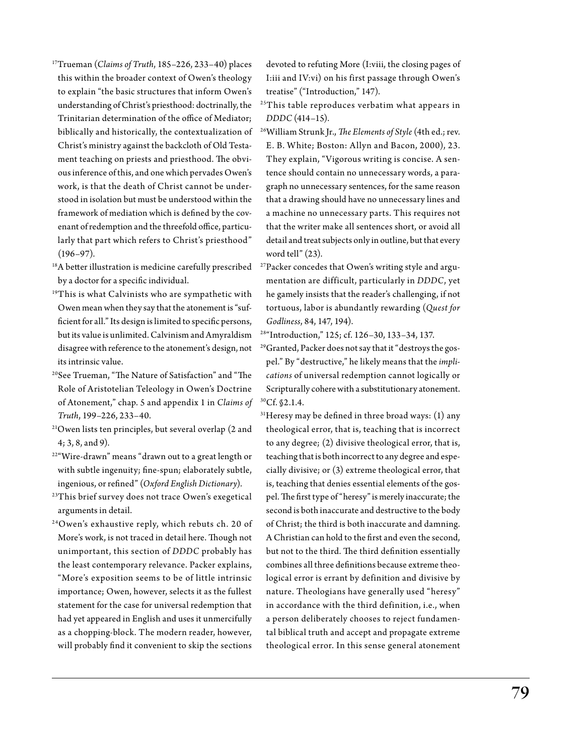- 17Trueman (*Claims of Truth*, 185–226, 233–40) places this within the broader context of Owen's theology to explain "the basic structures that inform Owen's understanding of Christ's priesthood: doctrinally, the Trinitarian determination of the office of Mediator; biblically and historically, the contextualization of Christ's ministry against the backcloth of Old Testament teaching on priests and priesthood. The obvious inference of this, and one which pervades Owen's work, is that the death of Christ cannot be understood in isolation but must be understood within the framework of mediation which is defined by the covenant of redemption and the threefold office, particularly that part which refers to Christ's priesthood" (196–97).
- <sup>18</sup>A better illustration is medicine carefully prescribed by a doctor for a specific individual.
- <sup>19</sup>This is what Calvinists who are sympathetic with Owen mean when they say that the atonement is "sufficient for all." Its design is limited to specific persons, but its value is unlimited. Calvinism and Amyraldism disagree with reference to the atonement's design, not its intrinsic value.
- 20See Trueman, "The Nature of Satisfaction" and "The Role of Aristotelian Teleology in Owen's Doctrine of Atonement," chap. 5 and appendix 1 in *Claims of Truth*, 199–226, 233–40.
- 21Owen lists ten principles, but several overlap (2 and 4; 3, 8, and 9).
- 22"Wire-drawn" means "drawn out to a great length or with subtle ingenuity; fine-spun; elaborately subtle, ingenious, or refined" (*Oxford English Dictionary*).
- <sup>23</sup>This brief survey does not trace Owen's exegetical arguments in detail.
- 24Owen's exhaustive reply, which rebuts ch. 20 of More's work, is not traced in detail here. Though not unimportant, this section of *DDDC* probably has the least contemporary relevance. Packer explains, "More's exposition seems to be of little intrinsic importance; Owen, however, selects it as the fullest statement for the case for universal redemption that had yet appeared in English and uses it unmercifully as a chopping-block. The modern reader, however, will probably find it convenient to skip the sections

devoted to refuting More (I:viii, the closing pages of I:iii and IV:vi) on his first passage through Owen's treatise" ("Introduction," 147).

- <sup>25</sup>This table reproduces verbatim what appears in *DDDC* (414–15).
- 26William Strunk Jr., *The Elements of Style* (4th ed.; rev. E. B. White; Boston: Allyn and Bacon, 2000), 23. They explain, "Vigorous writing is concise. A sentence should contain no unnecessary words, a paragraph no unnecessary sentences, for the same reason that a drawing should have no unnecessary lines and a machine no unnecessary parts. This requires not that the writer make all sentences short, or avoid all detail and treat subjects only in outline, but that every word tell" (23).
- 27Packer concedes that Owen's writing style and argumentation are difficult, particularly in *DDDC*, yet he gamely insists that the reader's challenging, if not tortuous, labor is abundantly rewarding (*Quest for Godliness*, 84, 147, 194).
- 28"Introduction," 125; cf. 126–30, 133–34, 137.
- 29Granted, Packer does not say that it "destroys the gospel." By "destructive," he likely means that the *implications* of universal redemption cannot logically or Scripturally cohere with a substitutionary atonement. 30Cf. §2.1.4.
- $31$ Heresy may be defined in three broad ways:  $(1)$  any theological error, that is, teaching that is incorrect to any degree; (2) divisive theological error, that is, teaching that is both incorrect to any degree and especially divisive; or (3) extreme theological error, that is, teaching that denies essential elements of the gospel. The first type of "heresy" is merely inaccurate; the second is both inaccurate and destructive to the body of Christ; the third is both inaccurate and damning. A Christian can hold to the first and even the second, but not to the third. The third definition essentially combines all three definitions because extreme theological error is errant by definition and divisive by nature. Theologians have generally used "heresy" in accordance with the third definition, i.e., when a person deliberately chooses to reject fundamental biblical truth and accept and propagate extreme theological error. In this sense general atonement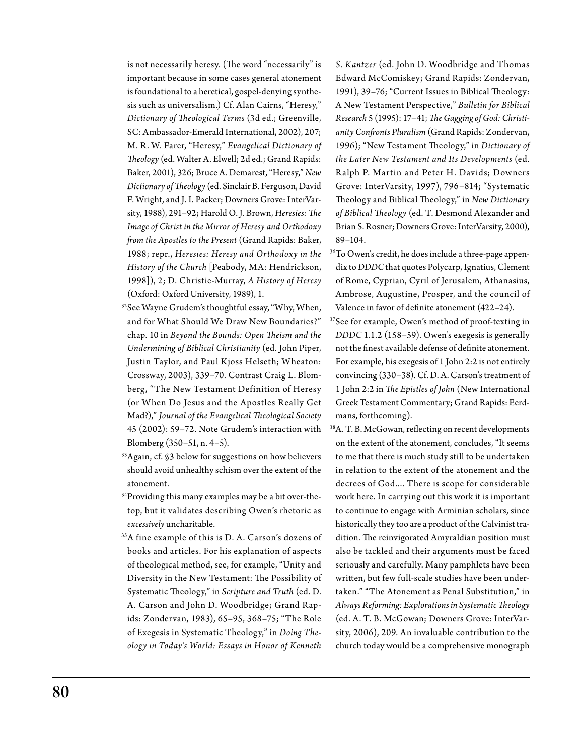is not necessarily heresy. (The word "necessarily" is important because in some cases general atonement is foundational to a heretical, gospel-denying synthesis such as universalism.) Cf. Alan Cairns, "Heresy," *Dictionary of Theological Terms* (3d ed.; Greenville, SC: Ambassador-Emerald International, 2002), 207; M. R. W. Farer, "Heresy," *Evangelical Dictionary of Theology* (ed. Walter A. Elwell; 2d ed.; Grand Rapids: Baker, 2001), 326; Bruce A. Demarest, "Heresy," *New Dictionary of Theology* (ed. Sinclair B. Ferguson, David F. Wright, and J. I. Packer; Downers Grove: InterVarsity, 1988), 291–92; Harold O. J. Brown, *Heresies: The Image of Christ in the Mirror of Heresy and Orthodoxy from the Apostles to the Present* (Grand Rapids: Baker, 1988; repr., *Heresies: Heresy and Orthodoxy in the History of the Church* [Peabody, MA: Hendrickson, 1998]), 2; D. Christie-Murray, *A History of Heresy* (Oxford: Oxford University, 1989), 1.

- <sup>32</sup>See Wayne Grudem's thoughtful essay, "Why, When, and for What Should We Draw New Boundaries?" chap. 10 in *Beyond the Bounds: Open Theism and the Undermining of Biblical Christianity* (ed. John Piper, Justin Taylor, and Paul Kjoss Helseth; W heaton: Crossway, 2003), 339–70. Contrast Craig L. Blomberg, "The New Testament Definition of Heresy (or When Do Jesus and the Apostles Really Get Mad?)," *Journal of the Evangelical Theological Society* 45 (2002): 59–72. Note Grudem's interaction with Blomberg (350–51, n. 4–5).
- 33Again, cf. §3 below for suggestions on how believers should avoid unhealthy schism over the extent of the atonement.
- <sup>34</sup>Providing this many examples may be a bit over-thetop, but it validates describing Owen's rhetoric as *excessively* uncharitable.
- 35A fine example of this is D. A. Carson's dozens of books and articles. For his explanation of aspects of theological method, see, for example, "Unity and Diversity in the New Testament: The Possibility of Systematic Theology," in *Scripture and Truth* (ed. D. A. Carson and John D. Woodbridge; Grand Rapids: Zondervan, 1983), 65–95, 368–75; "The Role of Exegesis in Systematic Theology," in *Doing Theology in Today's World: Essays in Honor of Kenneth*

*S. Kantzer* (ed. John D. Woodbridge and Thomas Edward McComiskey; Grand Rapids: Zondervan, 1991), 39–76; "Current Issues in Biblical Theology: A New Testament Perspective," *Bulletin for Biblical Research* 5 (1995): 17–41; *The Gagging of God: Christianity Confronts Pluralism* (Grand Rapids: Zondervan, 1996); "New Testament Theology," in *Dictionary of the Later New Testament and Its Developments* (ed. Ralph P. Martin and Peter H. Davids; Downers Grove: InterVarsity, 1997), 796–814; "Systematic Theology and Biblical Theology," in *New Dictionary of Biblical Theology* (ed. T. Desmond Alexander and Brian S. Rosner; Downers Grove: InterVarsity, 2000), 89–104.

- <sup>36</sup>To Owen's credit, he does include a three-page appendix to *DDDC* that quotes Polycarp, Ignatius, Clement of Rome, Cyprian, Cyril of Jerusalem, Athanasius, Ambrose, Augustine, Prosper, and the council of Valence in favor of definite atonement (422–24).
- 37See for example, Owen's method of proof-texting in *DDDC* 1.1.2 (158–59). Owen's exegesis is generally not the finest available defense of definite atonement. For example, his exegesis of 1 John 2:2 is not entirely convincing (330–38). Cf. D. A. Carson's treatment of 1 John 2:2 in *The Epistles of John* (New International Greek Testament Commentary; Grand Rapids: Eerdmans, forthcoming).
- 38A. T. B. McGowan, reflecting on recent developments on the extent of the atonement, concludes, "It seems to me that there is much study still to be undertaken in relation to the extent of the atonement and the decrees of God.... There is scope for considerable work here. In carrying out this work it is important to continue to engage with Arminian scholars, since historically they too are a product of the Calvinist tradition. The reinvigorated Amyraldian position must also be tackled and their arguments must be faced seriously and carefully. Many pamphlets have been written, but few full-scale studies have been undertaken." "The Atonement as Penal Substitution," in *Always Reforming: Explorations in Systematic Theology* (ed. A. T. B. McGowan; Downers Grove: InterVarsity, 2006), 209. An invaluable contribution to the church today would be a comprehensive monograph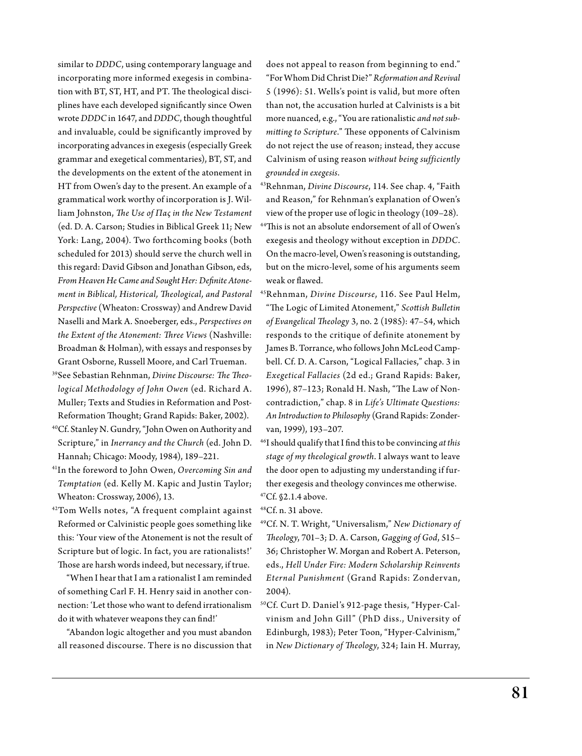similar to *DDDC*, using contemporary language and incorporating more informed exegesis in combination with BT, ST, HT, and PT. The theological disciplines have each developed significantly since Owen wrote *DDDC* in 1647, and *DDDC*, though thoughtful and invaluable, could be significantly improved by incorporating advances in exegesis (especially Greek grammar and exegetical commentaries), BT, ST, and the developments on the extent of the atonement in HT from Owen's day to the present. An example of a grammatical work worthy of incorporation is J. William Johnston, *The Use of Πας in the New Testament*  (ed. D. A. Carson; Studies in Biblical Greek 11; New York: Lang, 2004). Two forthcoming books (both scheduled for 2013) should serve the church well in this regard: David Gibson and Jonathan Gibson, eds, *From Heaven He Came and Sought Her: Definite Atonement in Biblical, Historical, Theological, and Pastoral Perspective* (Wheaton: Crossway) and Andrew David Naselli and Mark A. Snoeberger, eds., *Perspectives on the Extent of the Atonement: Three Views* (Nashville: Broadman & Holman), with essays and responses by Grant Osborne, Russell Moore, and Carl Trueman.

- 39See Sebastian Rehnman, *Divine Discourse: The Theological Methodology of John Owen* (ed. R ichard A. Muller; Texts and Studies in Reformation and Post-Reformation Thought; Grand Rapids: Baker, 2002).
- 40Cf. Stanley N. Gundry, "John Owen on Authority and Scripture," in *Inerrancy and the Church* (ed. John D. Hannah; Chicago: Moody, 1984), 189–221.
- 41In the foreword to John Owen, *Overcoming Sin and Temptation* (ed. Kelly M. Kapic and Justin Taylor; Wheaton: Crossway, 2006), 13.
- 42Tom Wells notes, "A frequent complaint against Reformed or Calvinistic people goes something like this: 'Your view of the Atonement is not the result of Scripture but of logic. In fact, you are rationalists!' Those are harsh words indeed, but necessary, if true.

 "When I hear that I am a rationalist I am reminded of something Carl F. H. Henry said in another connection: 'Let those who want to defend irrationalism do it with whatever weapons they can find!'

 "Abandon logic altogether and you must abandon all reasoned discourse. There is no discussion that does not appeal to reason from beginning to end." "For Whom Did Christ Die?" *Reformation and Revival*  5 (1996): 51. Wells's point is valid, but more often than not, the accusation hurled at Calvinists is a bit more nuanced, e.g., "You are rationalistic *and not submitting to Scripture*." These opponents of Calvinism do not reject the use of reason; instead, they accuse Calvinism of using reason *without being sufficiently grounded in exegesis*.

- 43Rehnman, *Divine Discourse*, 114. See chap. 4, "Faith and Reason," for Rehnman's explanation of Owen's view of the proper use of logic in theology (109–28).
- 44This is not an absolute endorsement of all of Owen's exegesis and theology without exception in *DDDC*. On the macro-level, Owen's reasoning is outstanding, but on the micro-level, some of his arguments seem weak or flawed.
- 45Rehnman, *Divine Discourse*, 116. See Paul Helm, "The Logic of Limited Atonement," *Scottish Bulletin of Evangelical Theology* 3, no. 2 (1985): 47–54, which responds to the critique of definite atonement by James B. Torrance, who follows John McLeod Campbell. Cf. D. A. Carson, "Logical Fallacies," chap. 3 in *Exegetical Fallacies* (2d ed.; Grand Rapids: Baker, 1996), 87–123; Ronald H. Nash, "The Law of Noncontradiction," chap. 8 in *Life's Ultimate Questions: An Introduction to Philosophy* (Grand Rapids: Zondervan, 1999), 193–207.
- 46I should qualify that I find this to be convincing *at this stage of my theological growth*. I always want to leave the door open to adjusting my understanding if further exegesis and theology convinces me otherwise.  $47Cf$ .  $$2.1.4$  above.

48Cf. n. 31 above.

- 49Cf. N. T. Wright, "Universalism," *New Dictionary of Theology*, 701–3; D. A. Carson, *Gagging of God*, 515– 36; Christopher W. Morgan and Robert A. Peterson, eds., *Hell Under Fire: Modern Scholarship Reinvents Eternal Punishment* (Grand Rapids: Zondervan, 2004).
- 50Cf. Curt D. Daniel's 912-page thesis, "Hyper-Calvinism and John Gill" (PhD diss., University of Edinburgh, 1983); Peter Toon, "Hyper-Calvinism," in *New Dictionary of Theology*, 324; Iain H. Murray,